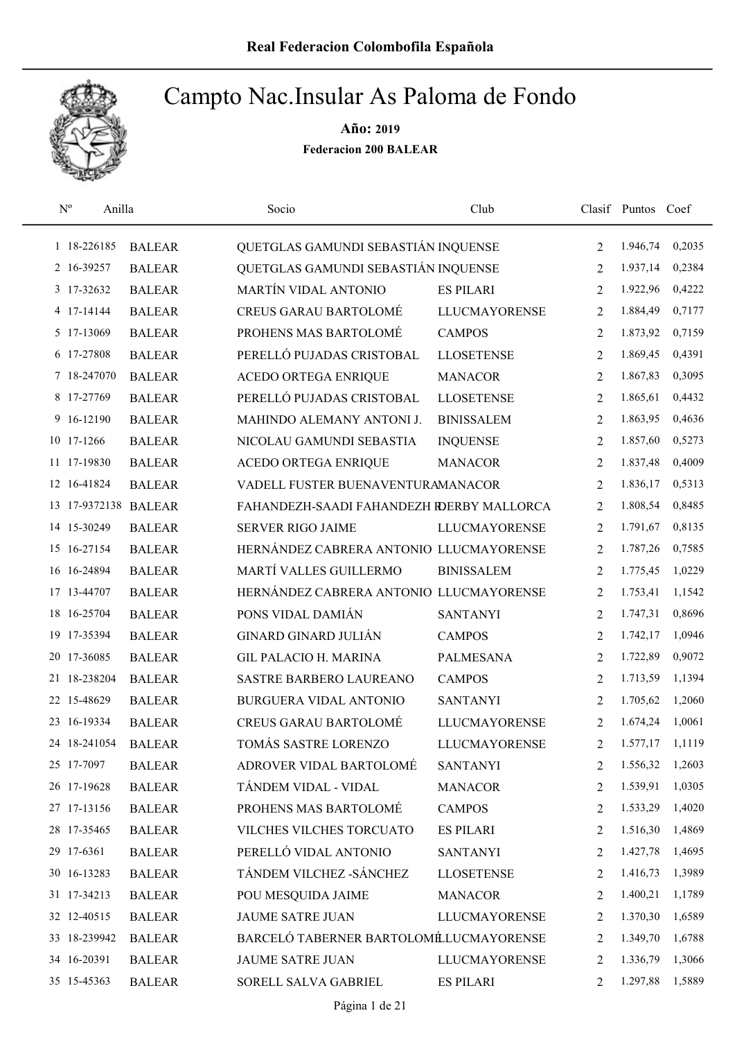

|    | $N^{o}$<br>Anilla    |               | Socio                                     | Club                 |                | Clasif Puntos Coef |        |
|----|----------------------|---------------|-------------------------------------------|----------------------|----------------|--------------------|--------|
|    | 1 18-226185          | <b>BALEAR</b> | QUETGLAS GAMUNDI SEBASTIÁN INQUENSE       |                      | 2              | 1.946,74           | 0,2035 |
|    | 2 16-39257           | <b>BALEAR</b> | QUETGLAS GAMUNDI SEBASTIÁN INQUENSE       |                      | $\overline{2}$ | 1.937,14           | 0,2384 |
|    | 3 17-32632           | <b>BALEAR</b> | MARTÍN VIDAL ANTONIO                      | <b>ES PILARI</b>     | 2              | 1.922,96           | 0,4222 |
|    | 4 17-14144           | <b>BALEAR</b> | <b>CREUS GARAU BARTOLOMÉ</b>              | <b>LLUCMAYORENSE</b> | 2              | 1.884,49           | 0,7177 |
|    | 5 17-13069           | <b>BALEAR</b> | PROHENS MAS BARTOLOMÉ                     | <b>CAMPOS</b>        | $\overline{2}$ | 1.873,92           | 0,7159 |
|    | 6 17-27808           | <b>BALEAR</b> | PERELLÓ PUJADAS CRISTOBAL                 | <b>LLOSETENSE</b>    | $\overline{2}$ | 1.869,45           | 0,4391 |
|    | 7 18-247070          | <b>BALEAR</b> | <b>ACEDO ORTEGA ENRIQUE</b>               | <b>MANACOR</b>       | $\overline{2}$ | 1.867,83           | 0,3095 |
|    | 8 17-27769           | <b>BALEAR</b> | PERELLÓ PUJADAS CRISTOBAL                 | <b>LLOSETENSE</b>    | $\overline{2}$ | 1.865,61           | 0,4432 |
|    | 9 16-12190           | <b>BALEAR</b> | MAHINDO ALEMANY ANTONI J.                 | <b>BINISSALEM</b>    | $\overline{2}$ | 1.863,95           | 0,4636 |
|    | 10 17-1266           | <b>BALEAR</b> | NICOLAU GAMUNDI SEBASTIA                  | <b>INQUENSE</b>      | 2              | 1.857,60           | 0,5273 |
|    | 11 17-19830          | <b>BALEAR</b> | ACEDO ORTEGA ENRIQUE                      | <b>MANACOR</b>       | $\overline{c}$ | 1.837,48           | 0,4009 |
|    | 12 16-41824          | <b>BALEAR</b> | VADELL FUSTER BUENAVENTURAMANACOR         |                      | $\overline{2}$ | 1.836,17           | 0,5313 |
|    | 13 17-9372138 BALEAR |               | FAHANDEZH-SAADI FAHANDEZH RDERBY MALLORCA |                      | $\overline{2}$ | 1.808,54           | 0,8485 |
|    | 14 15-30249          | <b>BALEAR</b> | <b>SERVER RIGO JAIME</b>                  | <b>LLUCMAYORENSE</b> | $\overline{2}$ | 1.791,67           | 0,8135 |
|    | 15 16-27154          | <b>BALEAR</b> | HERNÁNDEZ CABRERA ANTONIO LLUCMAYORENSE   |                      | $\overline{c}$ | 1.787,26           | 0,7585 |
|    | 16 16-24894          | <b>BALEAR</b> | MARTÍ VALLES GUILLERMO                    | <b>BINISSALEM</b>    | 2              | 1.775,45           | 1,0229 |
|    | 17 13-44707          | <b>BALEAR</b> | HERNÁNDEZ CABRERA ANTONIO LLUCMAYORENSE   |                      | 2              | 1.753,41           | 1,1542 |
|    | 18 16-25704          | <b>BALEAR</b> | PONS VIDAL DAMIÁN                         | <b>SANTANYI</b>      | $\overline{c}$ | 1.747,31           | 0,8696 |
| 19 | 17-35394             | <b>BALEAR</b> | <b>GINARD GINARD JULIÁN</b>               | <b>CAMPOS</b>        | $\overline{c}$ | 1.742,17           | 1,0946 |
| 20 | 17-36085             | <b>BALEAR</b> | <b>GIL PALACIO H. MARINA</b>              | PALMESANA            | $\overline{2}$ | 1.722,89           | 0,9072 |
|    | 21 18-238204         | <b>BALEAR</b> | SASTRE BARBERO LAUREANO                   | <b>CAMPOS</b>        | 2              | 1.713,59           | 1,1394 |
|    | 22 15-48629          | <b>BALEAR</b> | <b>BURGUERA VIDAL ANTONIO</b>             | <b>SANTANYI</b>      | 2              | 1.705,62           | 1,2060 |
| 23 | 16-19334             | <b>BALEAR</b> | <b>CREUS GARAU BARTOLOMÉ</b>              | <b>LLUCMAYORENSE</b> | 2              | 1.674,24           | 1,0061 |
|    | 24 18-241054         | <b>BALEAR</b> | TOMÁS SASTRE LORENZO                      | <b>LLUCMAYORENSE</b> | $\overline{2}$ | 1.577,17           | 1,1119 |
|    | 25 17-7097           | <b>BALEAR</b> | ADROVER VIDAL BARTOLOMÉ                   | <b>SANTANYI</b>      | 2              | 1.556,32           | 1,2603 |
|    | 26 17-19628          | <b>BALEAR</b> | TÁNDEM VIDAL - VIDAL                      | <b>MANACOR</b>       | 2              | 1.539,91           | 1,0305 |
|    | 27 17-13156          | <b>BALEAR</b> | PROHENS MAS BARTOLOMÉ                     | <b>CAMPOS</b>        | 2              | 1.533,29           | 1,4020 |
|    | 28 17-35465          | <b>BALEAR</b> | VILCHES VILCHES TORCUATO                  | <b>ES PILARI</b>     | 2              | 1.516,30           | 1,4869 |
|    | 29 17-6361           | <b>BALEAR</b> | PERELLÓ VIDAL ANTONIO                     | <b>SANTANYI</b>      | 2              | 1.427,78           | 1,4695 |
|    | 30 16-13283          | <b>BALEAR</b> | TÁNDEM VILCHEZ - SÁNCHEZ                  | <b>LLOSETENSE</b>    | 2              | 1.416,73           | 1,3989 |
|    | 31 17-34213          | <b>BALEAR</b> | POU MESQUIDA JAIME                        | <b>MANACOR</b>       | 2              | 1.400,21           | 1,1789 |
|    | 32 12-40515          | <b>BALEAR</b> | <b>JAUME SATRE JUAN</b>                   | <b>LLUCMAYORENSE</b> | 2              | 1.370,30           | 1,6589 |
|    | 33 18-239942         | <b>BALEAR</b> | BARCELÓ TABERNER BARTOLOMÉLUCMAYORENSE    |                      | 2              | 1.349,70           | 1,6788 |
|    | 34 16-20391          | <b>BALEAR</b> | <b>JAUME SATRE JUAN</b>                   | <b>LLUCMAYORENSE</b> | 2              | 1.336,79           | 1,3066 |
|    | 35 15-45363          | <b>BALEAR</b> | SORELL SALVA GABRIEL                      | <b>ES PILARI</b>     | 2              | 1.297,88           | 1,5889 |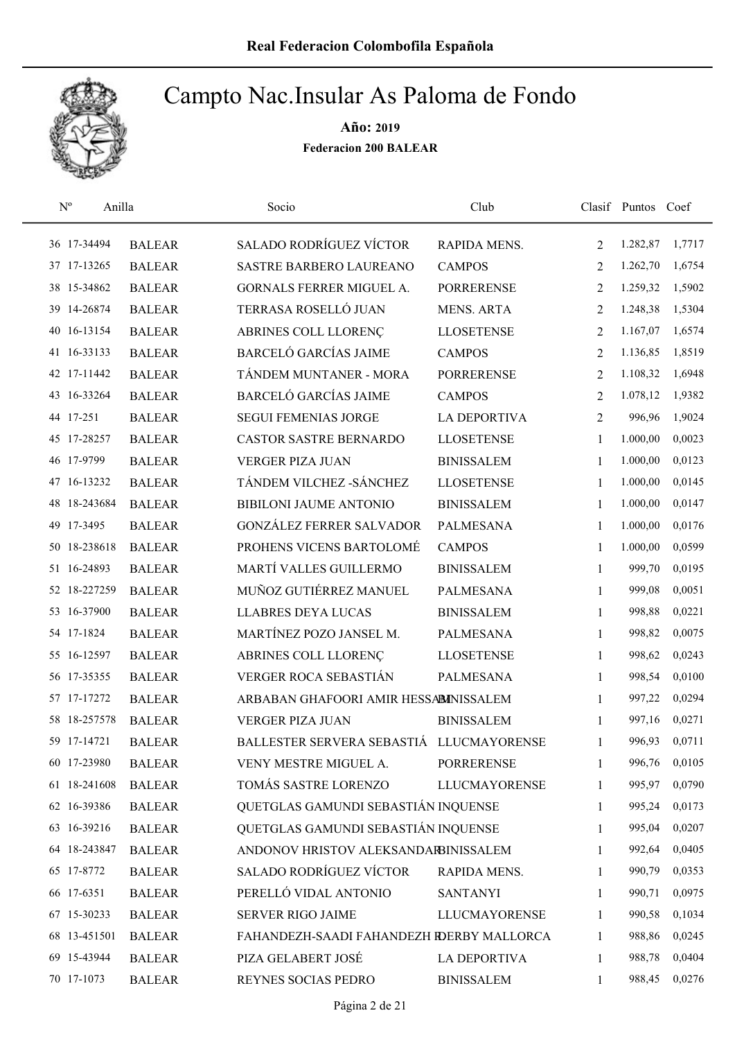

| $\mathbf{N}^{\text{o}}$ | Anilla        | Socio                                     | Club                 |                | Clasif Puntos Coef |        |
|-------------------------|---------------|-------------------------------------------|----------------------|----------------|--------------------|--------|
| 36 17-34494             | <b>BALEAR</b> | <b>SALADO RODRÍGUEZ VÍCTOR</b>            | RAPIDA MENS.         | 2              | 1.282,87           | 1,7717 |
| 37 17-13265             | <b>BALEAR</b> | <b>SASTRE BARBERO LAUREANO</b>            | <b>CAMPOS</b>        | 2              | 1.262,70           | 1,6754 |
| 38 15-34862             | <b>BALEAR</b> | GORNALS FERRER MIGUEL A.                  | <b>PORRERENSE</b>    | 2              | 1.259,32           | 1,5902 |
| 39 14-26874             | <b>BALEAR</b> | TERRASA ROSELLÓ JUAN                      | <b>MENS. ARTA</b>    | 2              | 1.248,38           | 1,5304 |
| 40 16-13154             | <b>BALEAR</b> | ABRINES COLL LLORENÇ                      | <b>LLOSETENSE</b>    | 2              | 1.167,07           | 1,6574 |
| 41 16-33133             | <b>BALEAR</b> | <b>BARCELÓ GARCÍAS JAIME</b>              | <b>CAMPOS</b>        | $\overline{2}$ | 1.136,85           | 1,8519 |
| 42 17-11442             | <b>BALEAR</b> | TÁNDEM MUNTANER - MORA                    | <b>PORRERENSE</b>    | $\overline{2}$ | 1.108,32           | 1,6948 |
| 43 16-33264             | <b>BALEAR</b> | <b>BARCELÓ GARCÍAS JAIME</b>              | <b>CAMPOS</b>        | $\overline{2}$ | 1.078,12           | 1,9382 |
| 44 17-251               | <b>BALEAR</b> | <b>SEGUI FEMENIAS JORGE</b>               | <b>LA DEPORTIVA</b>  | $\overline{2}$ | 996,96             | 1,9024 |
| 45 17-28257             | <b>BALEAR</b> | <b>CASTOR SASTRE BERNARDO</b>             | <b>LLOSETENSE</b>    | 1              | 1.000,00           | 0,0023 |
| 46 17-9799              | <b>BALEAR</b> | <b>VERGER PIZA JUAN</b>                   | <b>BINISSALEM</b>    | 1              | 1.000,00           | 0,0123 |
| 47 16-13232             | <b>BALEAR</b> | TÁNDEM VILCHEZ - SÁNCHEZ                  | <b>LLOSETENSE</b>    | 1              | 1.000,00           | 0,0145 |
| 48 18-243684            | <b>BALEAR</b> | <b>BIBILONI JAUME ANTONIO</b>             | <b>BINISSALEM</b>    | 1              | 1.000,00           | 0,0147 |
| 49 17-3495              | <b>BALEAR</b> | <b>GONZÁLEZ FERRER SALVADOR</b>           | <b>PALMESANA</b>     | 1              | 1.000,00           | 0,0176 |
| 50 18-238618            | <b>BALEAR</b> | PROHENS VICENS BARTOLOMÉ                  | <b>CAMPOS</b>        | 1              | 1.000,00           | 0,0599 |
| 51 16-24893             | <b>BALEAR</b> | MARTÍ VALLES GUILLERMO                    | <b>BINISSALEM</b>    | $\mathbf{1}$   | 999,70             | 0,0195 |
| 52 18-227259            | <b>BALEAR</b> | MUÑOZ GUTIÉRREZ MANUEL                    | <b>PALMESANA</b>     | $\mathbf{1}$   | 999,08             | 0,0051 |
| 53 16-37900             | <b>BALEAR</b> | <b>LLABRES DEYA LUCAS</b>                 | <b>BINISSALEM</b>    | $\mathbf{1}$   | 998,88             | 0,0221 |
| 54 17-1824              | <b>BALEAR</b> | MARTÍNEZ POZO JANSEL M.                   | <b>PALMESANA</b>     | $\mathbf{1}$   | 998,82             | 0,0075 |
| 55 16-12597             | <b>BALEAR</b> | ABRINES COLL LLORENÇ                      | <b>LLOSETENSE</b>    | 1              | 998,62             | 0,0243 |
| 56 17-35355             | <b>BALEAR</b> | VERGER ROCA SEBASTIÁN                     | PALMESANA            | $\mathbf{1}$   | 998,54             | 0,0100 |
| 57 17-17272             | <b>BALEAR</b> | ARBABAN GHAFOORI AMIR HESSABINISSALEM     |                      | 1              | 997,22             | 0,0294 |
| 58 18-257578            | <b>BALEAR</b> | <b>VERGER PIZA JUAN</b>                   | <b>BINISSALEM</b>    | 1              | 997,16             | 0,0271 |
| 59 17-14721             | <b>BALEAR</b> | BALLESTER SERVERA SEBASTIÁ LLUCMAYORENSE  |                      | 1              | 996,93             | 0,0711 |
| 60 17-23980             | <b>BALEAR</b> | VENY MESTRE MIGUEL A.                     | <b>PORRERENSE</b>    | 1              | 996,76             | 0,0105 |
| 61 18-241608            | <b>BALEAR</b> | TOMÁS SASTRE LORENZO                      | <b>LLUCMAYORENSE</b> | 1              | 995,97             | 0,0790 |
| 62 16-39386             | <b>BALEAR</b> | QUETGLAS GAMUNDI SEBASTIÁN INQUENSE       |                      | $\mathbf{1}$   | 995,24             | 0,0173 |
| 63 16-39216             | <b>BALEAR</b> | QUETGLAS GAMUNDI SEBASTIÁN INQUENSE       |                      | 1              | 995,04             | 0,0207 |
| 64 18-243847            | <b>BALEAR</b> | ANDONOV HRISTOV ALEKSANDARBINISSALEM      |                      | $\mathbf{1}$   | 992,64             | 0,0405 |
| 65 17-8772              | <b>BALEAR</b> | <b>SALADO RODRÍGUEZ VÍCTOR</b>            | RAPIDA MENS.         | 1              | 990,79             | 0,0353 |
| 66 17-6351              | <b>BALEAR</b> | PERELLÓ VIDAL ANTONIO                     | <b>SANTANYI</b>      | 1              | 990,71             | 0,0975 |
| 67 15-30233             | <b>BALEAR</b> | SERVER RIGO JAIME                         | <b>LLUCMAYORENSE</b> | 1              | 990,58             | 0,1034 |
| 68 13-451501            | <b>BALEAR</b> | FAHANDEZH-SAADI FAHANDEZH RDERBY MALLORCA |                      | 1              | 988,86             | 0,0245 |
| 69 15-43944             | <b>BALEAR</b> | PIZA GELABERT JOSÉ                        | <b>LA DEPORTIVA</b>  | 1              | 988,78             | 0,0404 |
| 70 17-1073              | <b>BALEAR</b> | REYNES SOCIAS PEDRO                       | <b>BINISSALEM</b>    | $\mathbf{1}$   | 988,45             | 0,0276 |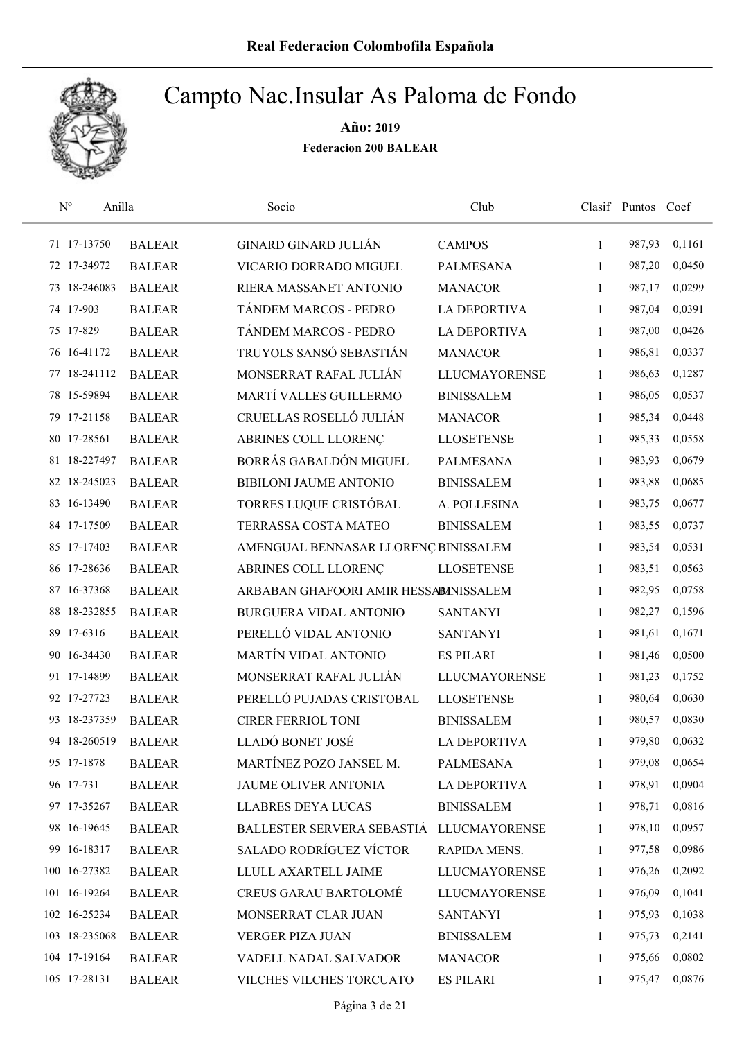

| $\mathbf{N}^{\mathrm{o}}$<br>Anilla |               | Socio                                    | Club                 |              | Clasif Puntos Coef |        |
|-------------------------------------|---------------|------------------------------------------|----------------------|--------------|--------------------|--------|
| 71 17-13750                         | <b>BALEAR</b> | <b>GINARD GINARD JULIÁN</b>              | <b>CAMPOS</b>        | $\mathbf{1}$ | 987,93             | 0,1161 |
| 72 17-34972                         | <b>BALEAR</b> | VICARIO DORRADO MIGUEL                   | PALMESANA            | 1            | 987,20             | 0,0450 |
| 73 18-246083                        | <b>BALEAR</b> | RIERA MASSANET ANTONIO                   | <b>MANACOR</b>       | $\mathbf{1}$ | 987,17             | 0,0299 |
| 74 17-903                           | <b>BALEAR</b> | TÁNDEM MARCOS - PEDRO                    | <b>LA DEPORTIVA</b>  | $\mathbf{1}$ | 987,04             | 0,0391 |
| 75 17-829                           | <b>BALEAR</b> | TÁNDEM MARCOS - PEDRO                    | LA DEPORTIVA         | $\mathbf{1}$ | 987,00             | 0,0426 |
| 76 16-41172                         | <b>BALEAR</b> | TRUYOLS SANSÓ SEBASTIÁN                  | <b>MANACOR</b>       | 1            | 986,81             | 0,0337 |
| 77 18-241112                        | <b>BALEAR</b> | MONSERRAT RAFAL JULIÁN                   | <b>LLUCMAYORENSE</b> | $\mathbf{1}$ | 986,63             | 0,1287 |
| 78 15-59894                         | <b>BALEAR</b> | MARTÍ VALLES GUILLERMO                   | <b>BINISSALEM</b>    | $\mathbf{1}$ | 986,05             | 0,0537 |
| 79 17-21158                         | <b>BALEAR</b> | CRUELLAS ROSELLÓ JULIÁN                  | <b>MANACOR</b>       | 1            | 985,34             | 0,0448 |
| 80 17-28561                         | <b>BALEAR</b> | ABRINES COLL LLORENÇ                     | <b>LLOSETENSE</b>    | 1            | 985,33             | 0,0558 |
| 81 18-227497                        | <b>BALEAR</b> | BORRÁS GABALDÓN MIGUEL                   | <b>PALMESANA</b>     | $\mathbf{1}$ | 983,93             | 0,0679 |
| 82 18-245023                        | <b>BALEAR</b> | <b>BIBILONI JAUME ANTONIO</b>            | <b>BINISSALEM</b>    | 1            | 983,88             | 0,0685 |
| 83 16-13490                         | <b>BALEAR</b> | TORRES LUQUE CRISTÓBAL                   | A. POLLESINA         | 1            | 983,75             | 0,0677 |
| 84 17-17509                         | <b>BALEAR</b> | <b>TERRASSA COSTA MATEO</b>              | <b>BINISSALEM</b>    | 1            | 983,55             | 0,0737 |
| 85 17-17403                         | <b>BALEAR</b> | AMENGUAL BENNASAR LLORENÇ BINISSALEM     |                      | 1            | 983,54             | 0,0531 |
| 86 17-28636                         | <b>BALEAR</b> | ABRINES COLL LLORENÇ                     | <b>LLOSETENSE</b>    | $\mathbf{1}$ | 983,51             | 0,0563 |
| 87 16-37368                         | <b>BALEAR</b> | ARBABAN GHAFOORI AMIR HESSABINISSALEM    |                      | 1            | 982,95             | 0,0758 |
| 88 18-232855                        | <b>BALEAR</b> | BURGUERA VIDAL ANTONIO                   | <b>SANTANYI</b>      | $\mathbf{1}$ | 982,27             | 0,1596 |
| 89 17-6316                          | <b>BALEAR</b> | PERELLÓ VIDAL ANTONIO                    | <b>SANTANYI</b>      | 1            | 981,61             | 0,1671 |
| 90 16-34430                         | <b>BALEAR</b> | MARTÍN VIDAL ANTONIO                     | <b>ES PILARI</b>     | $\mathbf{1}$ | 981,46             | 0,0500 |
| 91 17-14899                         | <b>BALEAR</b> | MONSERRAT RAFAL JULIÁN                   | <b>LLUCMAYORENSE</b> | 1            | 981,23             | 0,1752 |
| 92 17-27723                         | <b>BALEAR</b> | PERELLÓ PUJADAS CRISTOBAL                | <b>LLOSETENSE</b>    | 1            | 980,64             | 0,0630 |
| 93 18-237359                        | <b>BALEAR</b> | <b>CIRER FERRIOL TONI</b>                | <b>BINISSALEM</b>    | 1            | 980,57             | 0,0830 |
| 94 18-260519                        | <b>BALEAR</b> | LLADÓ BONET JOSÉ                         | <b>LA DEPORTIVA</b>  | 1            | 979,80             | 0,0632 |
| 95 17-1878                          | <b>BALEAR</b> | MARTÍNEZ POZO JANSEL M.                  | PALMESANA            | $\mathbf{1}$ | 979,08             | 0,0654 |
| 96 17-731                           | <b>BALEAR</b> | JAUME OLIVER ANTONIA                     | <b>LA DEPORTIVA</b>  | 1            | 978,91             | 0,0904 |
| 97 17-35267                         | <b>BALEAR</b> | <b>LLABRES DEYA LUCAS</b>                | <b>BINISSALEM</b>    | 1            | 978,71             | 0,0816 |
| 98 16-19645                         | <b>BALEAR</b> | BALLESTER SERVERA SEBASTIÁ LLUCMAYORENSE |                      | 1            | 978,10             | 0,0957 |
| 99 16-18317                         | <b>BALEAR</b> | <b>SALADO RODRÍGUEZ VÍCTOR</b>           | RAPIDA MENS.         | 1            | 977,58             | 0,0986 |
| 100 16-27382                        | <b>BALEAR</b> | LLULL AXARTELL JAIME                     | <b>LLUCMAYORENSE</b> | $\mathbf{1}$ | 976,26             | 0,2092 |
| 101 16-19264                        | <b>BALEAR</b> | <b>CREUS GARAU BARTOLOMÉ</b>             | <b>LLUCMAYORENSE</b> | 1            | 976,09             | 0,1041 |
| 102 16-25234                        | <b>BALEAR</b> | MONSERRAT CLAR JUAN                      | <b>SANTANYI</b>      | 1            | 975,93             | 0,1038 |
| 103 18-235068                       | <b>BALEAR</b> | VERGER PIZA JUAN                         | <b>BINISSALEM</b>    | 1            | 975,73             | 0,2141 |
| 104 17-19164                        | <b>BALEAR</b> | VADELL NADAL SALVADOR                    | <b>MANACOR</b>       | 1            | 975,66             | 0,0802 |
| 105 17-28131                        | <b>BALEAR</b> | VILCHES VILCHES TORCUATO                 | <b>ES PILARI</b>     | 1            | 975,47             | 0,0876 |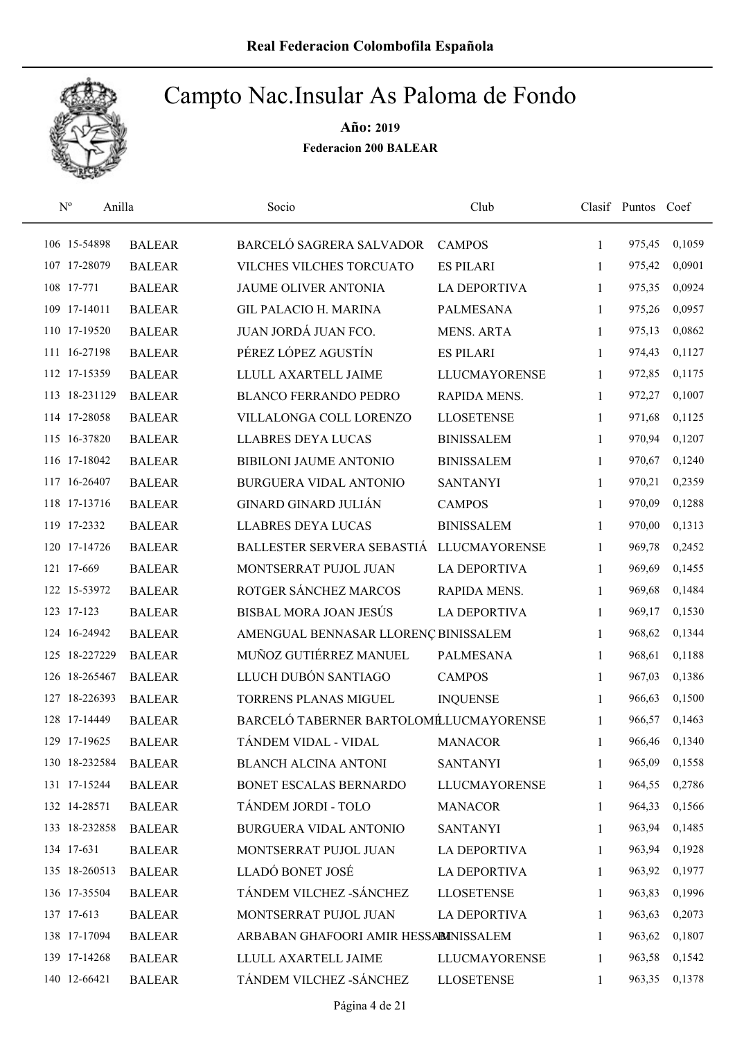

| $\mathrm{N}^{\rm o}$<br>Anilla |               | Socio                                  | Club                 |              | Clasif Puntos Coef |        |
|--------------------------------|---------------|----------------------------------------|----------------------|--------------|--------------------|--------|
| 106 15-54898                   | <b>BALEAR</b> | BARCELÓ SAGRERA SALVADOR               | <b>CAMPOS</b>        | 1            | 975,45             | 0,1059 |
| 107 17-28079                   | <b>BALEAR</b> | VILCHES VILCHES TORCUATO               | <b>ES PILARI</b>     | 1            | 975,42             | 0,0901 |
| 108 17-771                     | <b>BALEAR</b> | JAUME OLIVER ANTONIA                   | <b>LA DEPORTIVA</b>  | $\mathbf{1}$ | 975,35             | 0,0924 |
| 109 17-14011                   | <b>BALEAR</b> | <b>GIL PALACIO H. MARINA</b>           | <b>PALMESANA</b>     | 1            | 975,26             | 0,0957 |
| 110 17-19520                   | <b>BALEAR</b> | JUAN JORDÁ JUAN FCO.                   | <b>MENS. ARTA</b>    | $\mathbf{1}$ | 975,13             | 0,0862 |
| 111 16-27198                   | <b>BALEAR</b> | PÉREZ LÓPEZ AGUSTÍN                    | <b>ES PILARI</b>     | $\mathbf{1}$ | 974,43             | 0,1127 |
| 112 17-15359                   | <b>BALEAR</b> | LLULL AXARTELL JAIME                   | <b>LLUCMAYORENSE</b> | $\mathbf{1}$ | 972,85             | 0,1175 |
| 113 18-231129                  | <b>BALEAR</b> | <b>BLANCO FERRANDO PEDRO</b>           | RAPIDA MENS.         | $\mathbf{1}$ | 972,27             | 0,1007 |
| 114 17-28058                   | <b>BALEAR</b> | VILLALONGA COLL LORENZO                | <b>LLOSETENSE</b>    | 1            | 971,68             | 0,1125 |
| 115 16-37820                   | <b>BALEAR</b> | <b>LLABRES DEYA LUCAS</b>              | <b>BINISSALEM</b>    | 1            | 970,94             | 0,1207 |
| 116 17-18042                   | <b>BALEAR</b> | <b>BIBILONI JAUME ANTONIO</b>          | <b>BINISSALEM</b>    | 1            | 970,67             | 0,1240 |
| 117 16-26407                   | <b>BALEAR</b> | <b>BURGUERA VIDAL ANTONIO</b>          | <b>SANTANYI</b>      | 1            | 970,21             | 0,2359 |
| 118 17-13716                   | <b>BALEAR</b> | <b>GINARD GINARD JULIÁN</b>            | <b>CAMPOS</b>        | 1            | 970,09             | 0,1288 |
| 119 17-2332                    | <b>BALEAR</b> | <b>LLABRES DEYA LUCAS</b>              | <b>BINISSALEM</b>    | 1            | 970,00             | 0,1313 |
| 120 17-14726                   | <b>BALEAR</b> | BALLESTER SERVERA SEBASTIÁ             | <b>LLUCMAYORENSE</b> | $\mathbf{1}$ | 969,78             | 0,2452 |
| 121 17-669                     | <b>BALEAR</b> | MONTSERRAT PUJOL JUAN                  | <b>LA DEPORTIVA</b>  | 1            | 969,69             | 0,1455 |
| 122 15-53972                   | <b>BALEAR</b> | ROTGER SÁNCHEZ MARCOS                  | RAPIDA MENS.         | 1            | 969,68             | 0,1484 |
| 123 17-123                     | <b>BALEAR</b> | BISBAL MORA JOAN JESÚS                 | <b>LA DEPORTIVA</b>  | 1            | 969,17             | 0,1530 |
| 124 16-24942                   | <b>BALEAR</b> | AMENGUAL BENNASAR LLORENÇ BINISSALEM   |                      | 1            | 968,62             | 0,1344 |
| 125 18-227229                  | <b>BALEAR</b> | MUÑOZ GUTIÉRREZ MANUEL                 | <b>PALMESANA</b>     | $\mathbf{1}$ | 968,61             | 0,1188 |
| 126 18-265467                  | <b>BALEAR</b> | LLUCH DUBÓN SANTIAGO                   | <b>CAMPOS</b>        | $\mathbf{1}$ | 967,03             | 0,1386 |
| 127 18-226393                  | <b>BALEAR</b> | TORRENS PLANAS MIGUEL                  | <b>INQUENSE</b>      | 1            | 966,63             | 0,1500 |
| 128 17-14449                   | <b>BALEAR</b> | BARCELÓ TABERNER BARTOLOMÉLUCMAYORENSE |                      | 1            | 966,57             | 0,1463 |
| 129 17-19625                   | <b>BALEAR</b> | TÁNDEM VIDAL - VIDAL                   | <b>MANACOR</b>       | 1            | 966,46             | 0,1340 |
| 130 18-232584                  | <b>BALEAR</b> | <b>BLANCH ALCINA ANTONI</b>            | <b>SANTANYI</b>      | 1            | 965,09             | 0,1558 |
| 131 17-15244                   | <b>BALEAR</b> | BONET ESCALAS BERNARDO                 | <b>LLUCMAYORENSE</b> | 1            | 964,55             | 0,2786 |
| 132 14-28571                   | <b>BALEAR</b> | TÁNDEM JORDI - TOLO                    | <b>MANACOR</b>       | 1            | 964,33             | 0,1566 |
| 133 18-232858                  | <b>BALEAR</b> | BURGUERA VIDAL ANTONIO                 | <b>SANTANYI</b>      | 1            | 963,94             | 0,1485 |
| 134 17-631                     | <b>BALEAR</b> | MONTSERRAT PUJOL JUAN                  | <b>LA DEPORTIVA</b>  | 1            | 963,94             | 0,1928 |
| 135 18-260513                  | <b>BALEAR</b> | LLADÓ BONET JOSÉ                       | <b>LA DEPORTIVA</b>  | $\mathbf{1}$ | 963,92             | 0,1977 |
| 136 17-35504                   | <b>BALEAR</b> | TÁNDEM VILCHEZ - SÁNCHEZ               | <b>LLOSETENSE</b>    | 1            | 963,83             | 0,1996 |
| 137 17-613                     | <b>BALEAR</b> | MONTSERRAT PUJOL JUAN                  | <b>LA DEPORTIVA</b>  | 1            | 963,63             | 0,2073 |
| 138 17-17094                   | <b>BALEAR</b> | ARBABAN GHAFOORI AMIR HESSABINISSALEM  |                      | 1            | 963,62             | 0,1807 |
| 139 17-14268                   | <b>BALEAR</b> | LLULL AXARTELL JAIME                   | LLUCMAYORENSE        | 1            | 963,58             | 0,1542 |
| 140 12-66421                   | <b>BALEAR</b> | TÁNDEM VILCHEZ - SÁNCHEZ               | <b>LLOSETENSE</b>    | 1            | 963,35             | 0,1378 |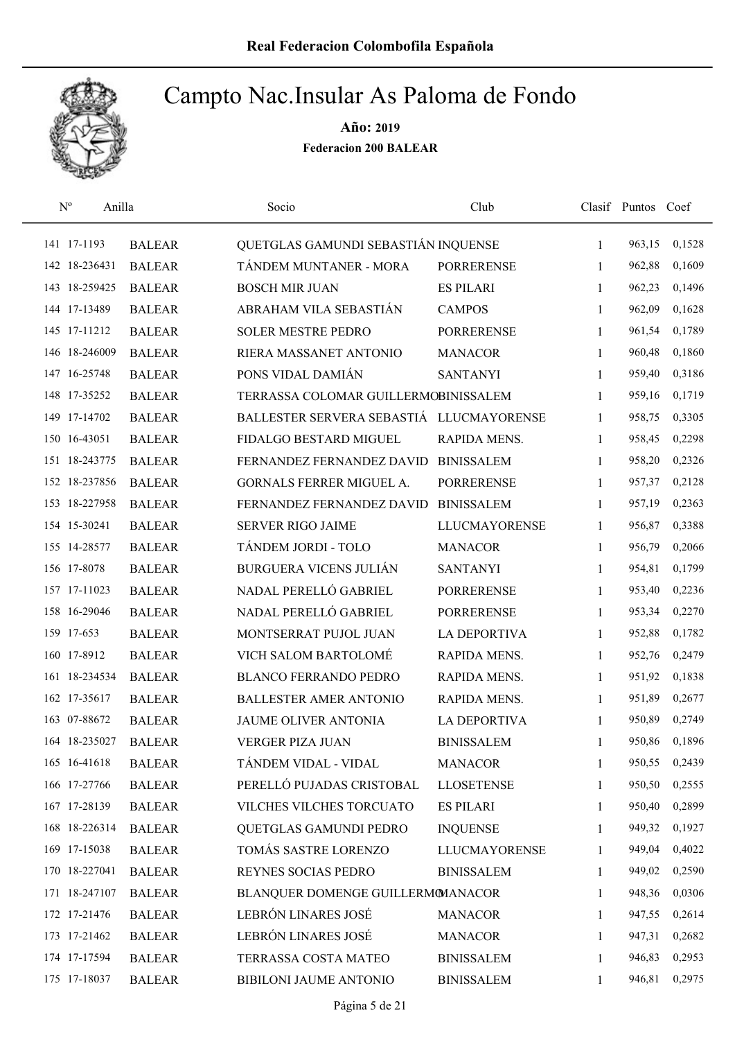

| $\mathrm{N}^{\rm o}$<br>Anilla |               | Socio                                    | Club                 |              | Clasif Puntos Coef |        |
|--------------------------------|---------------|------------------------------------------|----------------------|--------------|--------------------|--------|
| 141 17-1193                    | <b>BALEAR</b> | QUETGLAS GAMUNDI SEBASTIÁN INQUENSE      |                      | 1            | 963,15             | 0,1528 |
| 142 18-236431                  | <b>BALEAR</b> | TÁNDEM MUNTANER - MORA                   | <b>PORRERENSE</b>    | 1            | 962,88             | 0,1609 |
| 143 18-259425                  | <b>BALEAR</b> | <b>BOSCH MIR JUAN</b>                    | <b>ES PILARI</b>     | $\mathbf{1}$ | 962,23             | 0,1496 |
| 144 17-13489                   | <b>BALEAR</b> | ABRAHAM VILA SEBASTIÁN                   | <b>CAMPOS</b>        | 1            | 962,09             | 0,1628 |
| 145 17-11212                   | <b>BALEAR</b> | <b>SOLER MESTRE PEDRO</b>                | <b>PORRERENSE</b>    | $\mathbf{1}$ | 961,54             | 0,1789 |
| 146 18-246009                  | <b>BALEAR</b> | RIERA MASSANET ANTONIO                   | <b>MANACOR</b>       | 1            | 960,48             | 0,1860 |
| 147 16-25748                   | <b>BALEAR</b> | PONS VIDAL DAMIÁN                        | <b>SANTANYI</b>      | $\mathbf{1}$ | 959,40             | 0,3186 |
| 148 17-35252                   | <b>BALEAR</b> | TERRASSA COLOMAR GUILLERMOBINISSALEM     |                      | $\mathbf{1}$ | 959,16             | 0,1719 |
| 149 17-14702                   | <b>BALEAR</b> | BALLESTER SERVERA SEBASTIÁ LLUCMAYORENSE |                      | 1            | 958,75             | 0,3305 |
| 150 16-43051                   | <b>BALEAR</b> | FIDALGO BESTARD MIGUEL                   | RAPIDA MENS.         | 1            | 958,45             | 0,2298 |
| 151 18-243775                  | <b>BALEAR</b> | FERNANDEZ FERNANDEZ DAVID                | <b>BINISSALEM</b>    | 1            | 958,20             | 0,2326 |
| 152 18-237856                  | <b>BALEAR</b> | <b>GORNALS FERRER MIGUEL A.</b>          | <b>PORRERENSE</b>    | $\mathbf{1}$ | 957,37             | 0,2128 |
| 153 18-227958                  | <b>BALEAR</b> | FERNANDEZ FERNANDEZ DAVID                | <b>BINISSALEM</b>    | 1            | 957,19             | 0,2363 |
| 154 15-30241                   | <b>BALEAR</b> | <b>SERVER RIGO JAIME</b>                 | <b>LLUCMAYORENSE</b> | 1            | 956,87             | 0,3388 |
| 155 14-28577                   | <b>BALEAR</b> | TÁNDEM JORDI - TOLO                      | <b>MANACOR</b>       | 1            | 956,79             | 0,2066 |
| 156 17-8078                    | <b>BALEAR</b> | <b>BURGUERA VICENS JULIÁN</b>            | <b>SANTANYI</b>      | 1            | 954,81             | 0,1799 |
| 157 17-11023                   | <b>BALEAR</b> | NADAL PERELLÓ GABRIEL                    | <b>PORRERENSE</b>    | $\mathbf{1}$ | 953,40             | 0,2236 |
| 158 16-29046                   | <b>BALEAR</b> | NADAL PERELLÓ GABRIEL                    | <b>PORRERENSE</b>    | 1            | 953,34             | 0,2270 |
| 159 17-653                     | <b>BALEAR</b> | MONTSERRAT PUJOL JUAN                    | <b>LA DEPORTIVA</b>  | 1            | 952,88             | 0,1782 |
| 160 17-8912                    | <b>BALEAR</b> | VICH SALOM BARTOLOMÉ                     | RAPIDA MENS.         | $\mathbf{1}$ | 952,76             | 0,2479 |
| 161 18-234534                  | <b>BALEAR</b> | <b>BLANCO FERRANDO PEDRO</b>             | RAPIDA MENS.         | $\mathbf{1}$ | 951,92             | 0,1838 |
| 162 17-35617                   | <b>BALEAR</b> | <b>BALLESTER AMER ANTONIO</b>            | RAPIDA MENS.         | 1            | 951,89             | 0,2677 |
| 163 07-88672                   | <b>BALEAR</b> | JAUME OLIVER ANTONIA                     | <b>LA DEPORTIVA</b>  | 1            | 950,89             | 0,2749 |
| 164 18-235027                  | <b>BALEAR</b> | <b>VERGER PIZA JUAN</b>                  | <b>BINISSALEM</b>    | 1            | 950,86             | 0,1896 |
| 165 16-41618                   | <b>BALEAR</b> | TÁNDEM VIDAL - VIDAL                     | <b>MANACOR</b>       | 1            | 950,55             | 0,2439 |
| 166 17-27766                   | <b>BALEAR</b> | PERELLÓ PUJADAS CRISTOBAL                | <b>LLOSETENSE</b>    | 1            | 950,50             | 0,2555 |
| 167 17-28139                   | <b>BALEAR</b> | VILCHES VILCHES TORCUATO                 | <b>ES PILARI</b>     | 1            | 950,40             | 0,2899 |
| 168 18-226314                  | <b>BALEAR</b> | QUETGLAS GAMUNDI PEDRO                   | <b>INQUENSE</b>      | 1            | 949,32             | 0,1927 |
| 169 17-15038                   | <b>BALEAR</b> | TOMÁS SASTRE LORENZO                     | <b>LLUCMAYORENSE</b> | 1            | 949,04             | 0,4022 |
| 170 18-227041                  | <b>BALEAR</b> | REYNES SOCIAS PEDRO                      | <b>BINISSALEM</b>    | 1            | 949,02             | 0,2590 |
| 171 18-247107                  | <b>BALEAR</b> | BLANQUER DOMENGE GUILLERMOMANACOR        |                      | 1            | 948,36             | 0,0306 |
| 172 17-21476                   | <b>BALEAR</b> | LEBRÓN LINARES JOSÉ                      | <b>MANACOR</b>       | 1            | 947,55             | 0,2614 |
| 173 17-21462                   | <b>BALEAR</b> | LEBRÓN LINARES JOSÉ                      | <b>MANACOR</b>       | 1            | 947,31             | 0,2682 |
| 174 17-17594                   | <b>BALEAR</b> | TERRASSA COSTA MATEO                     | <b>BINISSALEM</b>    | 1            | 946,83             | 0,2953 |
| 175 17-18037                   | <b>BALEAR</b> | BIBILONI JAUME ANTONIO                   | <b>BINISSALEM</b>    | 1            | 946,81             | 0,2975 |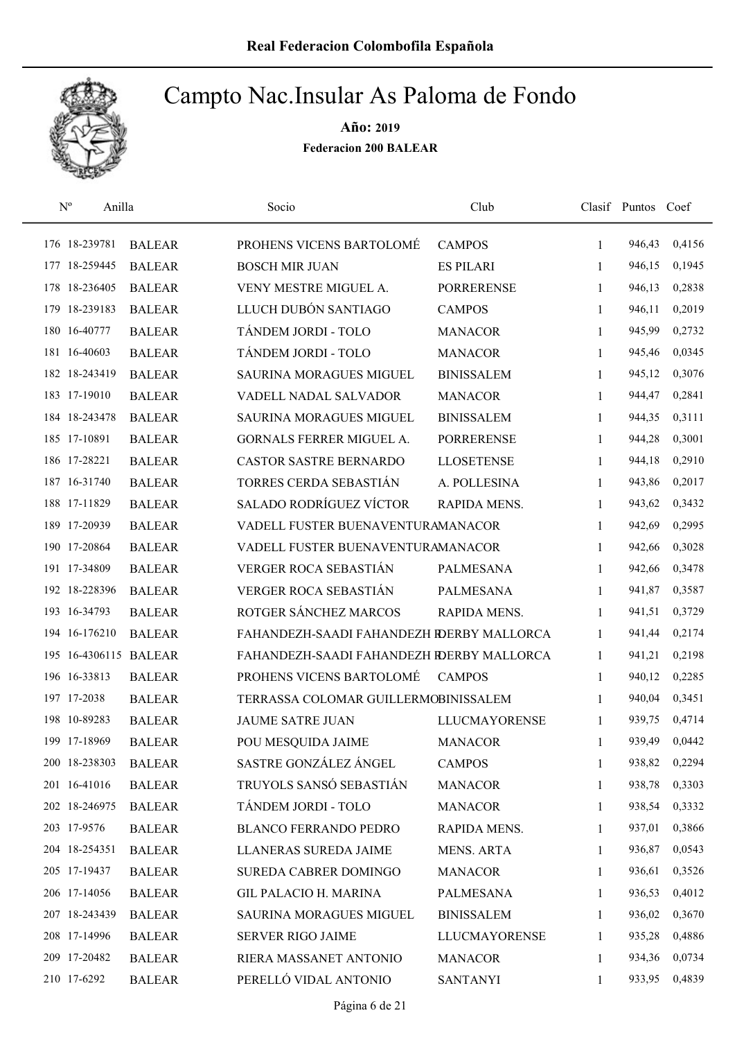

| $\mathbf{N}^{\text{o}}$<br>Anilla |               | Socio                                     | Club                 |              | Clasif Puntos | Coef   |
|-----------------------------------|---------------|-------------------------------------------|----------------------|--------------|---------------|--------|
| 176 18-239781                     | <b>BALEAR</b> | PROHENS VICENS BARTOLOMÉ                  | <b>CAMPOS</b>        | $\mathbf{1}$ | 946,43        | 0,4156 |
| 177 18-259445                     | <b>BALEAR</b> | <b>BOSCH MIR JUAN</b>                     | <b>ES PILARI</b>     | 1            | 946,15        | 0,1945 |
| 178 18-236405                     | <b>BALEAR</b> | VENY MESTRE MIGUEL A.                     | <b>PORRERENSE</b>    | $\mathbf{1}$ | 946,13        | 0,2838 |
| 179 18-239183                     | <b>BALEAR</b> | LLUCH DUBÓN SANTIAGO                      | <b>CAMPOS</b>        | $\mathbf{1}$ | 946,11        | 0,2019 |
| 180 16-40777                      | <b>BALEAR</b> | TÁNDEM JORDI - TOLO                       | <b>MANACOR</b>       | 1            | 945,99        | 0,2732 |
| 181 16-40603                      | <b>BALEAR</b> | TÁNDEM JORDI - TOLO                       | <b>MANACOR</b>       | $\mathbf{1}$ | 945,46        | 0,0345 |
| 182 18-243419                     | <b>BALEAR</b> | <b>SAURINA MORAGUES MIGUEL</b>            | <b>BINISSALEM</b>    | 1            | 945,12        | 0,3076 |
| 183 17-19010                      | <b>BALEAR</b> | VADELL NADAL SALVADOR                     | <b>MANACOR</b>       | $\mathbf{1}$ | 944,47        | 0,2841 |
| 184 18-243478                     | <b>BALEAR</b> | <b>SAURINA MORAGUES MIGUEL</b>            | <b>BINISSALEM</b>    | 1            | 944,35        | 0,3111 |
| 185 17-10891                      | <b>BALEAR</b> | GORNALS FERRER MIGUEL A.                  | <b>PORRERENSE</b>    | 1            | 944,28        | 0,3001 |
| 186 17-28221                      | <b>BALEAR</b> | <b>CASTOR SASTRE BERNARDO</b>             | <b>LLOSETENSE</b>    | 1            | 944,18        | 0,2910 |
| 187 16-31740                      | <b>BALEAR</b> | TORRES CERDA SEBASTIÁN                    | A. POLLESINA         | 1            | 943,86        | 0,2017 |
| 188 17-11829                      | <b>BALEAR</b> | SALADO RODRÍGUEZ VÍCTOR                   | RAPIDA MENS.         | 1            | 943,62        | 0,3432 |
| 189 17-20939                      | <b>BALEAR</b> | VADELL FUSTER BUENAVENTURAMANACOR         |                      | 1            | 942,69        | 0,2995 |
| 190 17-20864                      | <b>BALEAR</b> | VADELL FUSTER BUENAVENTURAMANACOR         |                      | 1            | 942,66        | 0,3028 |
| 191 17-34809                      | <b>BALEAR</b> | VERGER ROCA SEBASTIÁN                     | <b>PALMESANA</b>     | $\mathbf{1}$ | 942,66        | 0,3478 |
| 192 18-228396                     | <b>BALEAR</b> | VERGER ROCA SEBASTIÁN                     | <b>PALMESANA</b>     | $\mathbf{1}$ | 941,87        | 0,3587 |
| 193 16-34793                      | <b>BALEAR</b> | ROTGER SÁNCHEZ MARCOS                     | RAPIDA MENS.         | 1            | 941,51        | 0,3729 |
| 194 16-176210                     | <b>BALEAR</b> | FAHANDEZH-SAADI FAHANDEZH RDERBY MALLORCA |                      | 1            | 941,44        | 0,2174 |
| 195 16-4306115 BALEAR             |               | FAHANDEZH-SAADI FAHANDEZH RDERBY MALLORCA |                      | $\mathbf{1}$ | 941,21        | 0,2198 |
| 196 16-33813                      | <b>BALEAR</b> | PROHENS VICENS BARTOLOMÉ                  | <b>CAMPOS</b>        | 1            | 940,12        | 0,2285 |
| 197 17-2038                       | <b>BALEAR</b> | TERRASSA COLOMAR GUILLERMOBINISSALEM      |                      | 1            | 940,04        | 0,3451 |
| 198 10-89283                      | <b>BALEAR</b> | <b>JAUME SATRE JUAN</b>                   | <b>LLUCMAYORENSE</b> | 1            | 939,75        | 0,4714 |
| 199 17-18969                      | <b>BALEAR</b> | POU MESQUIDA JAIME                        | <b>MANACOR</b>       | 1            | 939,49        | 0,0442 |
| 200 18-238303                     | <b>BALEAR</b> | SASTRE GONZÁLEZ ÁNGEL                     | <b>CAMPOS</b>        | 1            | 938,82        | 0,2294 |
| 201 16-41016                      | <b>BALEAR</b> | TRUYOLS SANSÓ SEBASTIÁN                   | <b>MANACOR</b>       | 1            | 938,78        | 0,3303 |
| 202 18-246975                     | <b>BALEAR</b> | TÁNDEM JORDI - TOLO                       | <b>MANACOR</b>       | 1            | 938,54        | 0,3332 |
| 203 17-9576                       | <b>BALEAR</b> | <b>BLANCO FERRANDO PEDRO</b>              | RAPIDA MENS.         | 1            | 937,01        | 0,3866 |
| 204 18-254351                     | <b>BALEAR</b> | LLANERAS SUREDA JAIME                     | <b>MENS. ARTA</b>    | 1            | 936,87        | 0,0543 |
| 205 17-19437                      | <b>BALEAR</b> | <b>SUREDA CABRER DOMINGO</b>              | <b>MANACOR</b>       | $\mathbf{1}$ | 936,61        | 0,3526 |
| 206 17-14056                      | <b>BALEAR</b> | <b>GIL PALACIO H. MARINA</b>              | PALMESANA            | 1            | 936,53        | 0,4012 |
| 207 18-243439                     | <b>BALEAR</b> | SAURINA MORAGUES MIGUEL                   | <b>BINISSALEM</b>    | 1            | 936,02        | 0,3670 |
| 208 17-14996                      | <b>BALEAR</b> | <b>SERVER RIGO JAIME</b>                  | LLUCMAYORENSE        | 1            | 935,28        | 0,4886 |
| 209 17-20482                      | <b>BALEAR</b> | RIERA MASSANET ANTONIO                    | <b>MANACOR</b>       | 1            | 934,36        | 0,0734 |
| 210 17-6292                       | <b>BALEAR</b> | PERELLÓ VIDAL ANTONIO                     | <b>SANTANYI</b>      | 1            | 933,95        | 0,4839 |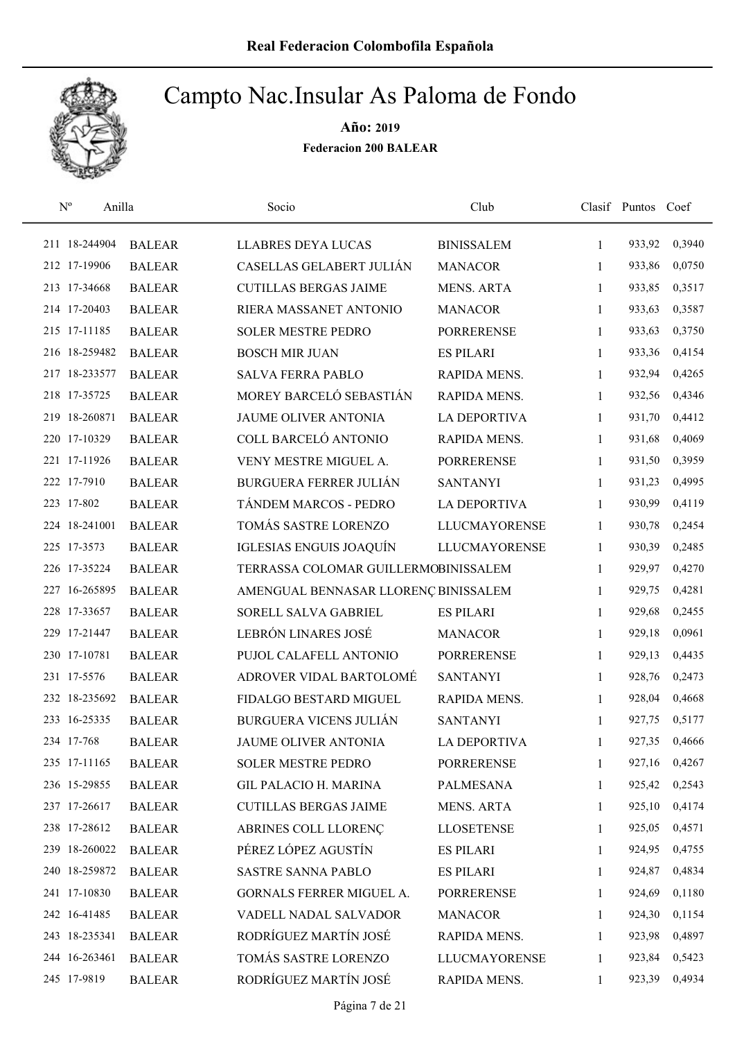

| $\mathbf{N}^{\text{o}}$ | Anilla        | Socio                                | Club                 |              | Clasif Puntos Coef |        |
|-------------------------|---------------|--------------------------------------|----------------------|--------------|--------------------|--------|
| 211 18-244904           | <b>BALEAR</b> | <b>LLABRES DEYA LUCAS</b>            | <b>BINISSALEM</b>    | $\mathbf{1}$ | 933,92             | 0,3940 |
| 212 17-19906            | <b>BALEAR</b> | CASELLAS GELABERT JULIÁN             | <b>MANACOR</b>       | $\mathbf{1}$ | 933,86             | 0,0750 |
| 213 17-34668            | <b>BALEAR</b> | <b>CUTILLAS BERGAS JAIME</b>         | <b>MENS. ARTA</b>    | $\mathbf{1}$ | 933,85             | 0,3517 |
| 214 17-20403            | <b>BALEAR</b> | RIERA MASSANET ANTONIO               | <b>MANACOR</b>       | 1            | 933,63             | 0,3587 |
| 215 17-11185            | <b>BALEAR</b> | <b>SOLER MESTRE PEDRO</b>            | <b>PORRERENSE</b>    | 1            | 933,63             | 0,3750 |
| 216 18-259482           | <b>BALEAR</b> | <b>BOSCH MIR JUAN</b>                | <b>ES PILARI</b>     | $\mathbf{1}$ | 933,36             | 0,4154 |
| 217 18-233577           | <b>BALEAR</b> | <b>SALVA FERRA PABLO</b>             | RAPIDA MENS.         | $\mathbf{1}$ | 932,94             | 0,4265 |
| 218 17-35725            | <b>BALEAR</b> | MOREY BARCELÓ SEBASTIÁN              | RAPIDA MENS.         | 1            | 932,56             | 0,4346 |
| 219 18-260871           | <b>BALEAR</b> | JAUME OLIVER ANTONIA                 | <b>LA DEPORTIVA</b>  | $\mathbf{1}$ | 931,70             | 0,4412 |
| 220 17-10329            | <b>BALEAR</b> | COLL BARCELÓ ANTONIO                 | RAPIDA MENS.         | 1            | 931,68             | 0,4069 |
| 221 17-11926            | <b>BALEAR</b> | VENY MESTRE MIGUEL A.                | <b>PORRERENSE</b>    | $\mathbf{1}$ | 931,50             | 0,3959 |
| 222 17-7910             | <b>BALEAR</b> | <b>BURGUERA FERRER JULIÁN</b>        | <b>SANTANYI</b>      | 1            | 931,23             | 0,4995 |
| 223 17-802              | <b>BALEAR</b> | TÁNDEM MARCOS - PEDRO                | <b>LA DEPORTIVA</b>  | $\mathbf{1}$ | 930,99             | 0,4119 |
| 224 18-241001           | <b>BALEAR</b> | TOMÁS SASTRE LORENZO                 | <b>LLUCMAYORENSE</b> | $\mathbf{1}$ | 930,78             | 0,2454 |
| 225 17-3573             | <b>BALEAR</b> | IGLESIAS ENGUIS JOAQUÍN              | <b>LLUCMAYORENSE</b> | $\mathbf{1}$ | 930,39             | 0,2485 |
| 226 17-35224            | <b>BALEAR</b> | TERRASSA COLOMAR GUILLERMOBINISSALEM |                      | 1            | 929,97             | 0,4270 |
| 227 16-265895           | <b>BALEAR</b> | AMENGUAL BENNASAR LLORENÇ BINISSALEM |                      | $\mathbf{1}$ | 929,75             | 0,4281 |
| 228 17-33657            | <b>BALEAR</b> | SORELL SALVA GABRIEL                 | <b>ES PILARI</b>     | 1            | 929,68             | 0,2455 |
| 229 17-21447            | <b>BALEAR</b> | LEBRÓN LINARES JOSÉ                  | <b>MANACOR</b>       | 1            | 929,18             | 0,0961 |
| 230 17-10781            | <b>BALEAR</b> | PUJOL CALAFELL ANTONIO               | <b>PORRERENSE</b>    | $\mathbf{1}$ | 929,13             | 0,4435 |
| 231 17-5576             | <b>BALEAR</b> | ADROVER VIDAL BARTOLOMÉ              | <b>SANTANYI</b>      | $\mathbf{1}$ | 928,76             | 0,2473 |
| 232 18-235692           | <b>BALEAR</b> | FIDALGO BESTARD MIGUEL               | RAPIDA MENS.         | 1            | 928,04             | 0,4668 |
| 233 16-25335            | <b>BALEAR</b> | <b>BURGUERA VICENS JULIÁN</b>        | <b>SANTANYI</b>      | 1            | 927,75             | 0,5177 |
| 234 17-768              | <b>BALEAR</b> | JAUME OLIVER ANTONIA                 | <b>LA DEPORTIVA</b>  | 1            | 927,35             | 0,4666 |
| 235 17-11165            | <b>BALEAR</b> | <b>SOLER MESTRE PEDRO</b>            | <b>PORRERENSE</b>    | 1            | 927,16             | 0,4267 |
| 236 15-29855            | <b>BALEAR</b> | <b>GIL PALACIO H. MARINA</b>         | PALMESANA            | 1            | 925,42             | 0,2543 |
| 237 17-26617            | <b>BALEAR</b> | <b>CUTILLAS BERGAS JAIME</b>         | MENS. ARTA           | 1            | 925,10             | 0,4174 |
| 238 17-28612            | <b>BALEAR</b> | ABRINES COLL LLORENÇ                 | <b>LLOSETENSE</b>    | 1            | 925,05             | 0,4571 |
| 239 18-260022           | <b>BALEAR</b> | PÉREZ LÓPEZ AGUSTÍN                  | <b>ES PILARI</b>     | 1            | 924,95             | 0,4755 |
| 240 18-259872           | <b>BALEAR</b> | <b>SASTRE SANNA PABLO</b>            | <b>ES PILARI</b>     | 1            | 924,87             | 0,4834 |
| 241 17-10830            | <b>BALEAR</b> | GORNALS FERRER MIGUEL A.             | <b>PORRERENSE</b>    | 1            | 924,69             | 0,1180 |
| 242 16-41485            | <b>BALEAR</b> | VADELL NADAL SALVADOR                | <b>MANACOR</b>       | 1            | 924,30             | 0,1154 |
| 243 18-235341           | <b>BALEAR</b> | RODRÍGUEZ MARTÍN JOSÉ                | RAPIDA MENS.         | 1            | 923,98             | 0,4897 |
| 244 16-263461           | <b>BALEAR</b> | TOMÁS SASTRE LORENZO                 | <b>LLUCMAYORENSE</b> | 1            | 923,84             | 0,5423 |
| 245 17-9819             | <b>BALEAR</b> | RODRÍGUEZ MARTÍN JOSÉ                | RAPIDA MENS.         | 1            | 923,39             | 0,4934 |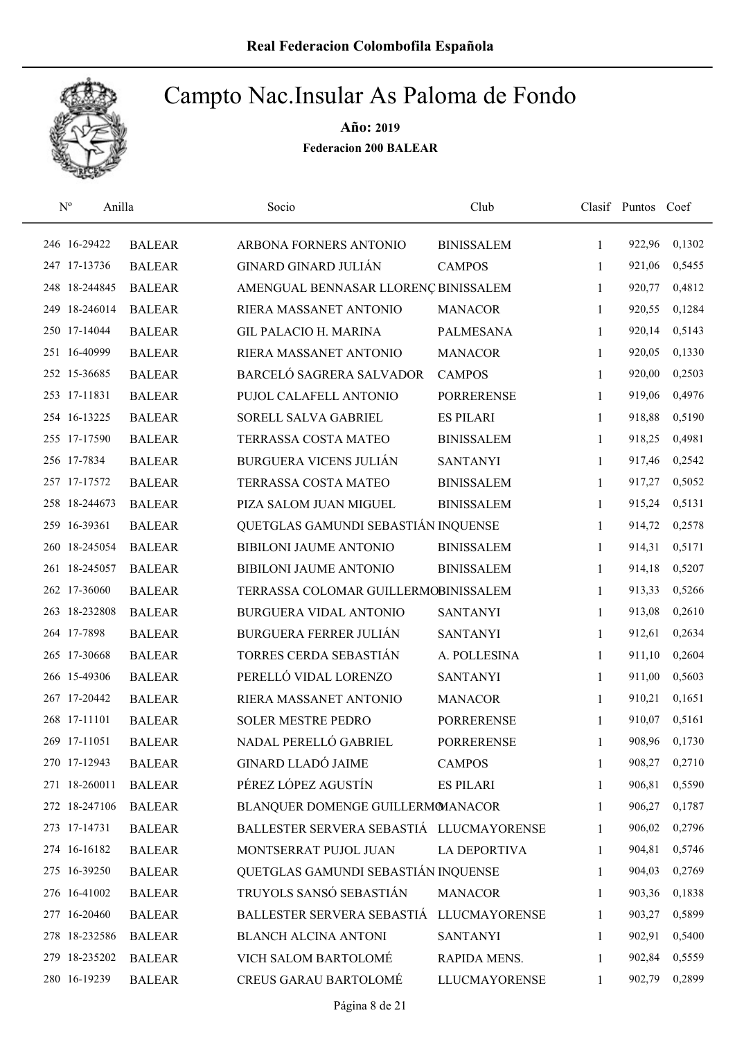

| $\mathbf{N}^{\text{o}}$ | Anilla        | Socio                                    | Club                 |              | Clasif Puntos Coef |        |
|-------------------------|---------------|------------------------------------------|----------------------|--------------|--------------------|--------|
| 246 16-29422            | <b>BALEAR</b> | ARBONA FORNERS ANTONIO                   | <b>BINISSALEM</b>    | 1            | 922,96             | 0,1302 |
| 247 17-13736            | <b>BALEAR</b> | <b>GINARD GINARD JULIÁN</b>              | <b>CAMPOS</b>        | 1            | 921,06             | 0,5455 |
| 248 18-244845           | <b>BALEAR</b> | AMENGUAL BENNASAR LLORENÇ BINISSALEM     |                      | 1            | 920,77             | 0,4812 |
| 249 18-246014           | <b>BALEAR</b> | RIERA MASSANET ANTONIO                   | <b>MANACOR</b>       | 1            | 920,55             | 0,1284 |
| 250 17-14044            | <b>BALEAR</b> | <b>GIL PALACIO H. MARINA</b>             | <b>PALMESANA</b>     | 1            | 920,14             | 0,5143 |
| 251 16-40999            | <b>BALEAR</b> | RIERA MASSANET ANTONIO                   | <b>MANACOR</b>       | 1            | 920,05             | 0,1330 |
| 252 15-36685            | <b>BALEAR</b> | BARCELÓ SAGRERA SALVADOR                 | <b>CAMPOS</b>        | 1            | 920,00             | 0,2503 |
| 253 17-11831            | <b>BALEAR</b> | PUJOL CALAFELL ANTONIO                   | <b>PORRERENSE</b>    | $\mathbf{1}$ | 919,06             | 0,4976 |
| 254 16-13225            | <b>BALEAR</b> | SORELL SALVA GABRIEL                     | <b>ES PILARI</b>     | 1            | 918,88             | 0,5190 |
| 255 17-17590            | <b>BALEAR</b> | TERRASSA COSTA MATEO                     | <b>BINISSALEM</b>    | 1            | 918,25             | 0,4981 |
| 256 17-7834             | <b>BALEAR</b> | <b>BURGUERA VICENS JULIÁN</b>            | <b>SANTANYI</b>      | 1            | 917,46             | 0,2542 |
| 257 17-17572            | <b>BALEAR</b> | TERRASSA COSTA MATEO                     | <b>BINISSALEM</b>    | 1            | 917,27             | 0,5052 |
| 258 18-244673           | <b>BALEAR</b> | PIZA SALOM JUAN MIGUEL                   | <b>BINISSALEM</b>    | 1            | 915,24             | 0,5131 |
| 259 16-39361            | <b>BALEAR</b> | QUETGLAS GAMUNDI SEBASTIÁN INQUENSE      |                      | 1            | 914,72             | 0,2578 |
| 260 18-245054           | <b>BALEAR</b> | BIBILONI JAUME ANTONIO                   | <b>BINISSALEM</b>    | $\mathbf{1}$ | 914,31             | 0,5171 |
| 261 18-245057           | <b>BALEAR</b> | BIBILONI JAUME ANTONIO                   | <b>BINISSALEM</b>    | 1            | 914,18             | 0,5207 |
| 262 17-36060            | <b>BALEAR</b> | TERRASSA COLOMAR GUILLERMOBINISSALEM     |                      | 1            | 913,33             | 0,5266 |
| 263 18-232808           | <b>BALEAR</b> | BURGUERA VIDAL ANTONIO                   | <b>SANTANYI</b>      | $\mathbf{1}$ | 913,08             | 0,2610 |
| 264 17-7898             | <b>BALEAR</b> | <b>BURGUERA FERRER JULIÁN</b>            | <b>SANTANYI</b>      | $\mathbf{1}$ | 912,61             | 0,2634 |
| 265 17-30668            | <b>BALEAR</b> | TORRES CERDA SEBASTIÁN                   | A. POLLESINA         | $\mathbf{1}$ | 911,10             | 0,2604 |
| 266 15-49306            | <b>BALEAR</b> | PERELLÓ VIDAL LORENZO                    | <b>SANTANYI</b>      | $\mathbf{1}$ | 911,00             | 0,5603 |
| 267 17-20442            | <b>BALEAR</b> | RIERA MASSANET ANTONIO                   | <b>MANACOR</b>       | 1            | 910,21             | 0,1651 |
| 268 17-11101            | <b>BALEAR</b> | <b>SOLER MESTRE PEDRO</b>                | <b>PORRERENSE</b>    | 1            | 910,07             | 0,5161 |
| 269 17-11051            | <b>BALEAR</b> | NADAL PERELLÓ GABRIEL                    | <b>PORRERENSE</b>    | 1            | 908,96             | 0,1730 |
| 270 17-12943            | <b>BALEAR</b> | <b>GINARD LLADÓ JAIME</b>                | <b>CAMPOS</b>        | 1            | 908,27             | 0,2710 |
| 271 18-260011           | <b>BALEAR</b> | PÉREZ LÓPEZ AGUSTÍN                      | <b>ES PILARI</b>     | 1            | 906,81             | 0,5590 |
| 272 18-247106           | <b>BALEAR</b> | BLANQUER DOMENGE GUILLERMOMANACOR        |                      | 1            | 906,27             | 0,1787 |
| 273 17-14731            | <b>BALEAR</b> | BALLESTER SERVERA SEBASTIÁ LLUCMAYORENSE |                      | 1            | 906,02             | 0,2796 |
| 274 16-16182            | <b>BALEAR</b> | MONTSERRAT PUJOL JUAN                    | LA DEPORTIVA         | 1            | 904,81             | 0,5746 |
| 275 16-39250            | <b>BALEAR</b> | QUETGLAS GAMUNDI SEBASTIÁN INQUENSE      |                      | 1            | 904,03             | 0,2769 |
| 276 16-41002            | <b>BALEAR</b> | TRUYOLS SANSÓ SEBASTIÁN                  | <b>MANACOR</b>       | 1            | 903,36             | 0,1838 |
| 277 16-20460            | <b>BALEAR</b> | BALLESTER SERVERA SEBASTIÁ               | <b>LLUCMAYORENSE</b> | 1            | 903,27             | 0,5899 |
| 278 18-232586           | <b>BALEAR</b> | <b>BLANCH ALCINA ANTONI</b>              | <b>SANTANYI</b>      | 1            | 902,91             | 0,5400 |
| 279 18-235202           | <b>BALEAR</b> | VICH SALOM BARTOLOMÉ                     | RAPIDA MENS.         | 1            | 902,84             | 0,5559 |
| 280 16-19239            | <b>BALEAR</b> | CREUS GARAU BARTOLOMÉ                    | <b>LLUCMAYORENSE</b> | 1            | 902,79             | 0,2899 |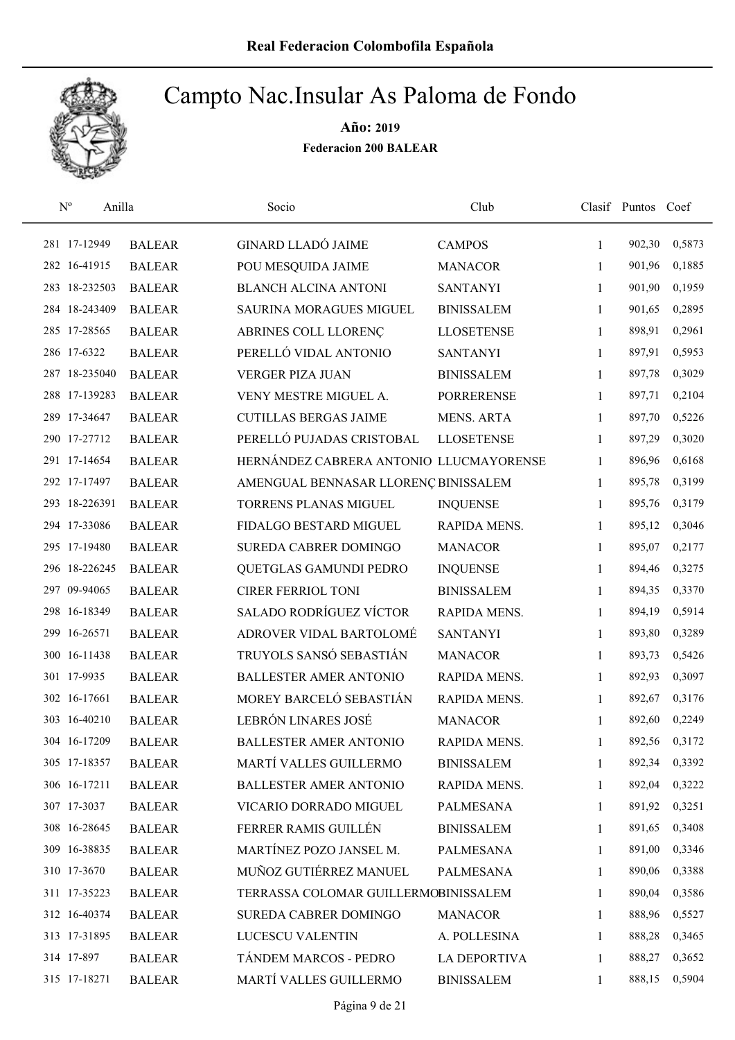

| $\mathbf{N}^{\text{o}}$ | Anilla        | Socio                                   | Club                |              | Clasif Puntos Coef |        |
|-------------------------|---------------|-----------------------------------------|---------------------|--------------|--------------------|--------|
| 281 17-12949            | <b>BALEAR</b> | <b>GINARD LLADÓ JAIME</b>               | <b>CAMPOS</b>       | $\mathbf{1}$ | 902,30             | 0,5873 |
| 282 16-41915            | <b>BALEAR</b> | POU MESQUIDA JAIME                      | <b>MANACOR</b>      | 1            | 901,96             | 0,1885 |
| 283 18-232503           | <b>BALEAR</b> | <b>BLANCH ALCINA ANTONI</b>             | <b>SANTANYI</b>     | $\mathbf{1}$ | 901,90             | 0,1959 |
| 284 18-243409           | <b>BALEAR</b> | SAURINA MORAGUES MIGUEL                 | <b>BINISSALEM</b>   | 1            | 901,65             | 0,2895 |
| 285 17-28565            | <b>BALEAR</b> | ABRINES COLL LLORENÇ                    | <b>LLOSETENSE</b>   | $\mathbf{1}$ | 898,91             | 0,2961 |
| 286 17-6322             | <b>BALEAR</b> | PERELLÓ VIDAL ANTONIO                   | <b>SANTANYI</b>     | 1            | 897,91             | 0,5953 |
| 287 18-235040           | <b>BALEAR</b> | <b>VERGER PIZA JUAN</b>                 | <b>BINISSALEM</b>   | 1            | 897,78             | 0,3029 |
| 288 17-139283           | <b>BALEAR</b> | VENY MESTRE MIGUEL A.                   | <b>PORRERENSE</b>   | 1            | 897,71             | 0,2104 |
| 289 17-34647            | <b>BALEAR</b> | <b>CUTILLAS BERGAS JAIME</b>            | <b>MENS. ARTA</b>   | 1            | 897,70             | 0,5226 |
| 290 17-27712            | <b>BALEAR</b> | PERELLÓ PUJADAS CRISTOBAL               | <b>LLOSETENSE</b>   | 1            | 897,29             | 0,3020 |
| 291 17-14654            | <b>BALEAR</b> | HERNÁNDEZ CABRERA ANTONIO LLUCMAYORENSE |                     | 1            | 896,96             | 0,6168 |
| 292 17-17497            | <b>BALEAR</b> | AMENGUAL BENNASAR LLORENÇ BINISSALEM    |                     | 1            | 895,78             | 0,3199 |
| 293 18-226391           | <b>BALEAR</b> | <b>TORRENS PLANAS MIGUEL</b>            | <b>INQUENSE</b>     | 1            | 895,76             | 0,3179 |
| 294 17-33086            | <b>BALEAR</b> | FIDALGO BESTARD MIGUEL                  | RAPIDA MENS.        | 1            | 895,12             | 0,3046 |
| 295 17-19480            | <b>BALEAR</b> | SUREDA CABRER DOMINGO                   | <b>MANACOR</b>      | $\mathbf{1}$ | 895,07             | 0,2177 |
| 296 18-226245           | <b>BALEAR</b> | QUETGLAS GAMUNDI PEDRO                  | <b>INQUENSE</b>     | 1            | 894,46             | 0,3275 |
| 297 09-94065            | <b>BALEAR</b> | <b>CIRER FERRIOL TONI</b>               | <b>BINISSALEM</b>   | 1            | 894,35             | 0,3370 |
| 298 16-18349            | <b>BALEAR</b> | SALADO RODRÍGUEZ VÍCTOR                 | RAPIDA MENS.        | $\mathbf{1}$ | 894,19             | 0,5914 |
| 299 16-26571            | <b>BALEAR</b> | ADROVER VIDAL BARTOLOMÉ                 | <b>SANTANYI</b>     | 1            | 893,80             | 0,3289 |
| 300 16-11438            | <b>BALEAR</b> | TRUYOLS SANSÓ SEBASTIÁN                 | <b>MANACOR</b>      | 1            | 893,73             | 0,5426 |
| 301 17-9935             | <b>BALEAR</b> | <b>BALLESTER AMER ANTONIO</b>           | RAPIDA MENS.        | 1            | 892,93             | 0,3097 |
| 302 16-17661            | <b>BALEAR</b> | MOREY BARCELÓ SEBASTIÁN                 | RAPIDA MENS.        | 1            | 892,67             | 0,3176 |
| 303 16-40210            | <b>BALEAR</b> | LEBRÓN LINARES JOSÉ                     | <b>MANACOR</b>      | 1            | 892,60             | 0,2249 |
| 304 16-17209            | <b>BALEAR</b> | <b>BALLESTER AMER ANTONIO</b>           | RAPIDA MENS.        | 1            | 892,56             | 0,3172 |
| 305 17-18357            | <b>BALEAR</b> | MARTÍ VALLES GUILLERMO                  | <b>BINISSALEM</b>   | 1            | 892,34             | 0,3392 |
| 306 16-17211            | <b>BALEAR</b> | <b>BALLESTER AMER ANTONIO</b>           | RAPIDA MENS.        | 1            | 892,04             | 0,3222 |
| 307 17-3037             | <b>BALEAR</b> | VICARIO DORRADO MIGUEL                  | PALMESANA           | 1            | 891,92             | 0,3251 |
| 308 16-28645            | <b>BALEAR</b> | FERRER RAMIS GUILLÉN                    | <b>BINISSALEM</b>   | 1            | 891,65             | 0,3408 |
| 309 16-38835            | <b>BALEAR</b> | MARTÍNEZ POZO JANSEL M.                 | <b>PALMESANA</b>    | 1            | 891,00             | 0,3346 |
| 310 17-3670             | <b>BALEAR</b> | MUÑOZ GUTIÉRREZ MANUEL                  | PALMESANA           | 1            | 890,06             | 0,3388 |
| 311 17-35223            | <b>BALEAR</b> | TERRASSA COLOMAR GUILLERMOBINISSALEM    |                     | 1            | 890,04             | 0,3586 |
| 312 16-40374            | <b>BALEAR</b> | SUREDA CABRER DOMINGO                   | <b>MANACOR</b>      | 1            | 888,96             | 0,5527 |
| 313 17-31895            | <b>BALEAR</b> | LUCESCU VALENTIN                        | A. POLLESINA        | 1            | 888,28             | 0,3465 |
| 314 17-897              | <b>BALEAR</b> | TÁNDEM MARCOS - PEDRO                   | <b>LA DEPORTIVA</b> | 1            | 888,27             | 0,3652 |
| 315 17-18271            | <b>BALEAR</b> | MARTÍ VALLES GUILLERMO                  | <b>BINISSALEM</b>   | 1            | 888,15             | 0,5904 |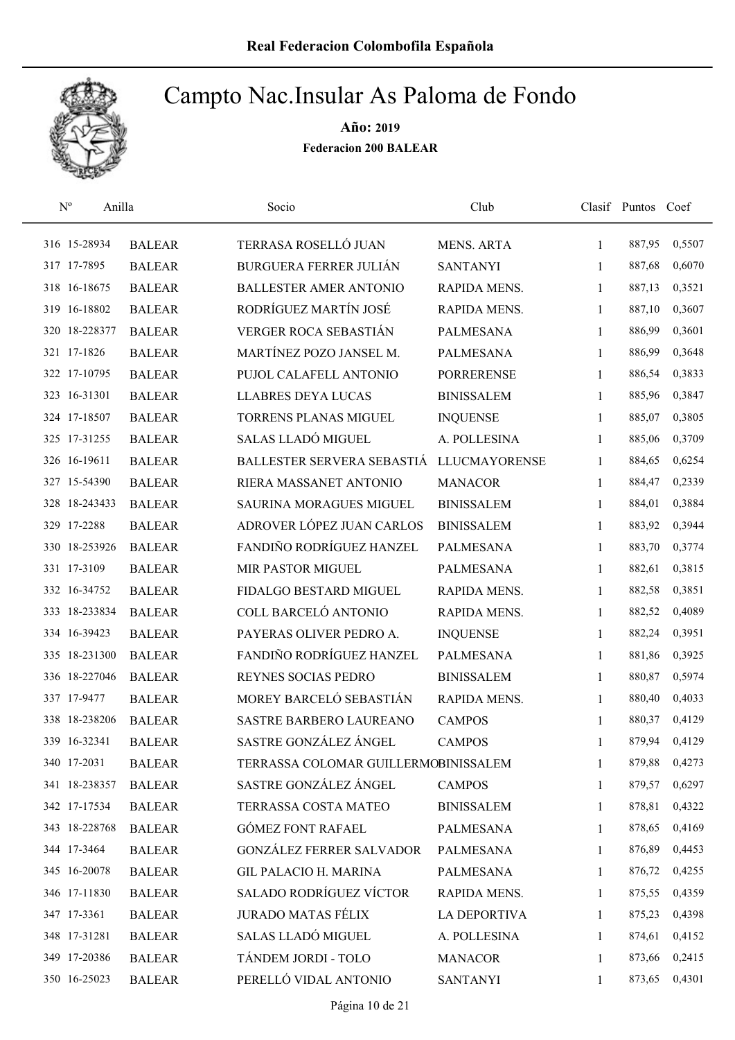

| $N^{\rm o}$<br>Anilla |               | Socio                                | Club                 |              | Clasif Puntos Coef |        |
|-----------------------|---------------|--------------------------------------|----------------------|--------------|--------------------|--------|
| 316 15-28934          | <b>BALEAR</b> | TERRASA ROSELLÓ JUAN                 | <b>MENS. ARTA</b>    | $\mathbf{1}$ | 887,95             | 0,5507 |
| 317 17-7895           | <b>BALEAR</b> | <b>BURGUERA FERRER JULIÁN</b>        | <b>SANTANYI</b>      | 1            | 887,68             | 0,6070 |
| 318 16-18675          | <b>BALEAR</b> | <b>BALLESTER AMER ANTONIO</b>        | RAPIDA MENS.         | 1            | 887,13             | 0,3521 |
| 319 16-18802          | <b>BALEAR</b> | RODRÍGUEZ MARTÍN JOSÉ                | RAPIDA MENS.         | 1            | 887,10             | 0,3607 |
| 320 18-228377         | <b>BALEAR</b> | VERGER ROCA SEBASTIÁN                | <b>PALMESANA</b>     | $\mathbf{1}$ | 886,99             | 0,3601 |
| 321 17-1826           | <b>BALEAR</b> | MARTÍNEZ POZO JANSEL M.              | <b>PALMESANA</b>     | 1            | 886,99             | 0,3648 |
| 322 17-10795          | <b>BALEAR</b> | PUJOL CALAFELL ANTONIO               | <b>PORRERENSE</b>    | 1            | 886,54             | 0,3833 |
| 323 16-31301          | <b>BALEAR</b> | <b>LLABRES DEYA LUCAS</b>            | <b>BINISSALEM</b>    | 1            | 885,96             | 0,3847 |
| 324 17-18507          | <b>BALEAR</b> | <b>TORRENS PLANAS MIGUEL</b>         | <b>INQUENSE</b>      | 1            | 885,07             | 0,3805 |
| 325 17-31255          | <b>BALEAR</b> | SALAS LLADÓ MIGUEL                   | A. POLLESINA         | 1            | 885,06             | 0,3709 |
| 326 16-19611          | <b>BALEAR</b> | BALLESTER SERVERA SEBASTIÁ           | <b>LLUCMAYORENSE</b> | 1            | 884,65             | 0,6254 |
| 327 15-54390          | <b>BALEAR</b> | RIERA MASSANET ANTONIO               | <b>MANACOR</b>       | 1            | 884,47             | 0,2339 |
| 328 18-243433         | <b>BALEAR</b> | <b>SAURINA MORAGUES MIGUEL</b>       | <b>BINISSALEM</b>    | 1            | 884,01             | 0,3884 |
| 329 17-2288           | <b>BALEAR</b> | ADROVER LÓPEZ JUAN CARLOS            | <b>BINISSALEM</b>    | 1            | 883,92             | 0,3944 |
| 330 18-253926         | <b>BALEAR</b> | FANDIÑO RODRÍGUEZ HANZEL             | <b>PALMESANA</b>     | $\mathbf{1}$ | 883,70             | 0,3774 |
| 331 17-3109           | <b>BALEAR</b> | MIR PASTOR MIGUEL                    | <b>PALMESANA</b>     | 1            | 882,61             | 0,3815 |
| 332 16-34752          | <b>BALEAR</b> | FIDALGO BESTARD MIGUEL               | RAPIDA MENS.         | 1            | 882,58             | 0,3851 |
| 333 18-233834         | <b>BALEAR</b> | COLL BARCELÓ ANTONIO                 | RAPIDA MENS.         | $\mathbf{1}$ | 882,52             | 0,4089 |
| 334 16-39423          | <b>BALEAR</b> | PAYERAS OLIVER PEDRO A.              | <b>INQUENSE</b>      | 1            | 882,24             | 0,3951 |
| 335 18-231300         | <b>BALEAR</b> | FANDIÑO RODRÍGUEZ HANZEL             | <b>PALMESANA</b>     | 1            | 881,86             | 0,3925 |
| 336 18-227046         | <b>BALEAR</b> | REYNES SOCIAS PEDRO                  | <b>BINISSALEM</b>    | 1            | 880,87             | 0,5974 |
| 337 17-9477           | <b>BALEAR</b> | MOREY BARCELÓ SEBASTIÁN              | RAPIDA MENS.         | 1            | 880,40             | 0,4033 |
| 338 18-238206         | <b>BALEAR</b> | SASTRE BARBERO LAUREANO              | <b>CAMPOS</b>        | 1            | 880,37             | 0,4129 |
| 339 16-32341          | <b>BALEAR</b> | SASTRE GONZÁLEZ ÁNGEL                | <b>CAMPOS</b>        | 1            | 879,94             | 0,4129 |
| 340 17-2031           | <b>BALEAR</b> | TERRASSA COLOMAR GUILLERMOBINISSALEM |                      | 1            | 879,88             | 0,4273 |
| 341 18-238357         | <b>BALEAR</b> | SASTRE GONZÁLEZ ÁNGEL                | <b>CAMPOS</b>        | 1            | 879,57             | 0,6297 |
| 342 17-17534          | <b>BALEAR</b> | TERRASSA COSTA MATEO                 | <b>BINISSALEM</b>    | 1            | 878,81             | 0,4322 |
| 343 18-228768         | <b>BALEAR</b> | <b>GÓMEZ FONT RAFAEL</b>             | PALMESANA            | 1            | 878,65             | 0,4169 |
| 344 17-3464           | <b>BALEAR</b> | <b>GONZÁLEZ FERRER SALVADOR</b>      | PALMESANA            | 1            | 876,89             | 0,4453 |
| 345 16-20078          | <b>BALEAR</b> | <b>GIL PALACIO H. MARINA</b>         | PALMESANA            | $\mathbf{1}$ | 876,72             | 0,4255 |
| 346 17-11830          | <b>BALEAR</b> | <b>SALADO RODRÍGUEZ VÍCTOR</b>       | RAPIDA MENS.         | 1            | 875,55             | 0,4359 |
| 347 17-3361           | <b>BALEAR</b> | <b>JURADO MATAS FÉLIX</b>            | <b>LA DEPORTIVA</b>  | 1            | 875,23             | 0,4398 |
| 348 17-31281          | <b>BALEAR</b> | SALAS LLADÓ MIGUEL                   | A. POLLESINA         | 1            | 874,61             | 0,4152 |
| 349 17-20386          | <b>BALEAR</b> | TÁNDEM JORDI - TOLO                  | <b>MANACOR</b>       | 1            | 873,66             | 0,2415 |
| 350 16-25023          | <b>BALEAR</b> | PERELLÓ VIDAL ANTONIO                | <b>SANTANYI</b>      | 1            | 873,65             | 0,4301 |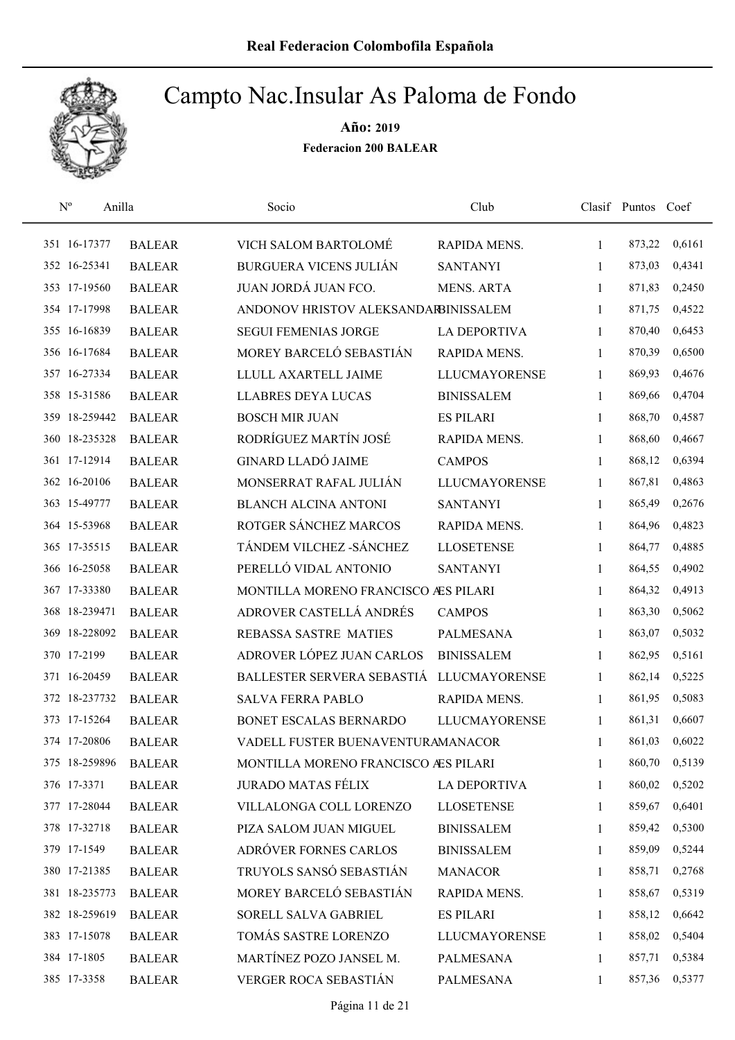

| $N^{\rm o}$   | Anilla        | Socio                                | Club                 |              | Clasif Puntos Coef |        |
|---------------|---------------|--------------------------------------|----------------------|--------------|--------------------|--------|
| 351 16-17377  | <b>BALEAR</b> | VICH SALOM BARTOLOMÉ                 | RAPIDA MENS.         | 1            | 873,22             | 0,6161 |
| 352 16-25341  | <b>BALEAR</b> | <b>BURGUERA VICENS JULIÁN</b>        | <b>SANTANYI</b>      | 1            | 873,03             | 0,4341 |
| 353 17-19560  | <b>BALEAR</b> | JUAN JORDÁ JUAN FCO.                 | <b>MENS. ARTA</b>    | $\mathbf{1}$ | 871,83             | 0,2450 |
| 354 17-17998  | <b>BALEAR</b> | ANDONOV HRISTOV ALEKSANDARBINISSALEM |                      | $\mathbf{1}$ | 871,75             | 0,4522 |
| 355 16-16839  | <b>BALEAR</b> | <b>SEGUI FEMENIAS JORGE</b>          | <b>LA DEPORTIVA</b>  | $\mathbf{1}$ | 870,40             | 0,6453 |
| 356 16-17684  | <b>BALEAR</b> | MOREY BARCELÓ SEBASTIÁN              | RAPIDA MENS.         | $\mathbf{1}$ | 870,39             | 0,6500 |
| 357 16-27334  | <b>BALEAR</b> | LLULL AXARTELL JAIME                 | <b>LLUCMAYORENSE</b> | $\mathbf{1}$ | 869,93             | 0,4676 |
| 358 15-31586  | <b>BALEAR</b> | <b>LLABRES DEYA LUCAS</b>            | <b>BINISSALEM</b>    | 1            | 869,66             | 0,4704 |
| 359 18-259442 | <b>BALEAR</b> | <b>BOSCH MIR JUAN</b>                | <b>ES PILARI</b>     | 1            | 868,70             | 0,4587 |
| 360 18-235328 | <b>BALEAR</b> | RODRÍGUEZ MARTÍN JOSÉ                | RAPIDA MENS.         | 1            | 868,60             | 0,4667 |
| 361 17-12914  | <b>BALEAR</b> | <b>GINARD LLADÓ JAIME</b>            | <b>CAMPOS</b>        | 1            | 868,12             | 0,6394 |
| 362 16-20106  | <b>BALEAR</b> | MONSERRAT RAFAL JULIÁN               | <b>LLUCMAYORENSE</b> | 1            | 867,81             | 0,4863 |
| 363 15-49777  | <b>BALEAR</b> | <b>BLANCH ALCINA ANTONI</b>          | <b>SANTANYI</b>      | 1            | 865,49             | 0,2676 |
| 364 15-53968  | <b>BALEAR</b> | ROTGER SÁNCHEZ MARCOS                | RAPIDA MENS.         | 1            | 864,96             | 0,4823 |
| 365 17-35515  | <b>BALEAR</b> | TÁNDEM VILCHEZ - SÁNCHEZ             | <b>LLOSETENSE</b>    | 1            | 864,77             | 0,4885 |
| 366 16-25058  | <b>BALEAR</b> | PERELLÓ VIDAL ANTONIO                | <b>SANTANYI</b>      | $\mathbf{1}$ | 864,55             | 0,4902 |
| 367 17-33380  | <b>BALEAR</b> | MONTILLA MORENO FRANCISCO ÆS PILARI  |                      | 1            | 864,32             | 0,4913 |
| 368 18-239471 | <b>BALEAR</b> | ADROVER CASTELLÁ ANDRÉS              | <b>CAMPOS</b>        | $\mathbf{1}$ | 863,30             | 0,5062 |
| 369 18-228092 | <b>BALEAR</b> | REBASSA SASTRE MATIES                | <b>PALMESANA</b>     | 1            | 863,07             | 0,5032 |
| 370 17-2199   | <b>BALEAR</b> | ADROVER LÓPEZ JUAN CARLOS            | <b>BINISSALEM</b>    | $\mathbf{1}$ | 862,95             | 0,5161 |
| 371 16-20459  | <b>BALEAR</b> | BALLESTER SERVERA SEBASTIÁ           | <b>LLUCMAYORENSE</b> | $\mathbf{1}$ | 862,14             | 0,5225 |
| 372 18-237732 | <b>BALEAR</b> | <b>SALVA FERRA PABLO</b>             | RAPIDA MENS.         | 1            | 861,95             | 0,5083 |
| 373 17-15264  | <b>BALEAR</b> | <b>BONET ESCALAS BERNARDO</b>        | <b>LLUCMAYORENSE</b> | 1            | 861,31             | 0,6607 |
| 374 17-20806  | <b>BALEAR</b> | VADELL FUSTER BUENAVENTURAMANACOR    |                      | 1            | 861,03             | 0,6022 |
| 375 18-259896 | <b>BALEAR</b> | MONTILLA MORENO FRANCISCO AES PILARI |                      | 1            | 860,70             | 0,5139 |
| 376 17-3371   | <b>BALEAR</b> | <b>JURADO MATAS FÉLIX</b>            | <b>LA DEPORTIVA</b>  | 1            | 860,02             | 0,5202 |
| 377 17-28044  | <b>BALEAR</b> | VILLALONGA COLL LORENZO              | <b>LLOSETENSE</b>    | $\mathbf{1}$ | 859,67             | 0,6401 |
| 378 17-32718  | <b>BALEAR</b> | PIZA SALOM JUAN MIGUEL               | <b>BINISSALEM</b>    | 1            | 859,42             | 0,5300 |
| 379 17-1549   | <b>BALEAR</b> | ADRÓVER FORNES CARLOS                | <b>BINISSALEM</b>    | 1            | 859,09             | 0,5244 |
| 380 17-21385  | <b>BALEAR</b> | TRUYOLS SANSÓ SEBASTIÁN              | <b>MANACOR</b>       | $\mathbf{1}$ | 858,71             | 0,2768 |
| 381 18-235773 | <b>BALEAR</b> | MOREY BARCELÓ SEBASTIÁN              | RAPIDA MENS.         | 1            | 858,67             | 0,5319 |
| 382 18-259619 | <b>BALEAR</b> | SORELL SALVA GABRIEL                 | <b>ES PILARI</b>     | 1            | 858,12             | 0,6642 |
| 383 17-15078  | <b>BALEAR</b> | TOMÁS SASTRE LORENZO                 | LLUCMAYORENSE        | 1            | 858,02             | 0,5404 |
| 384 17-1805   | <b>BALEAR</b> | MARTÍNEZ POZO JANSEL M.              | <b>PALMESANA</b>     | 1            | 857,71             | 0,5384 |
| 385 17-3358   | <b>BALEAR</b> | VERGER ROCA SEBASTIÁN                | PALMESANA            | 1            | 857,36             | 0,5377 |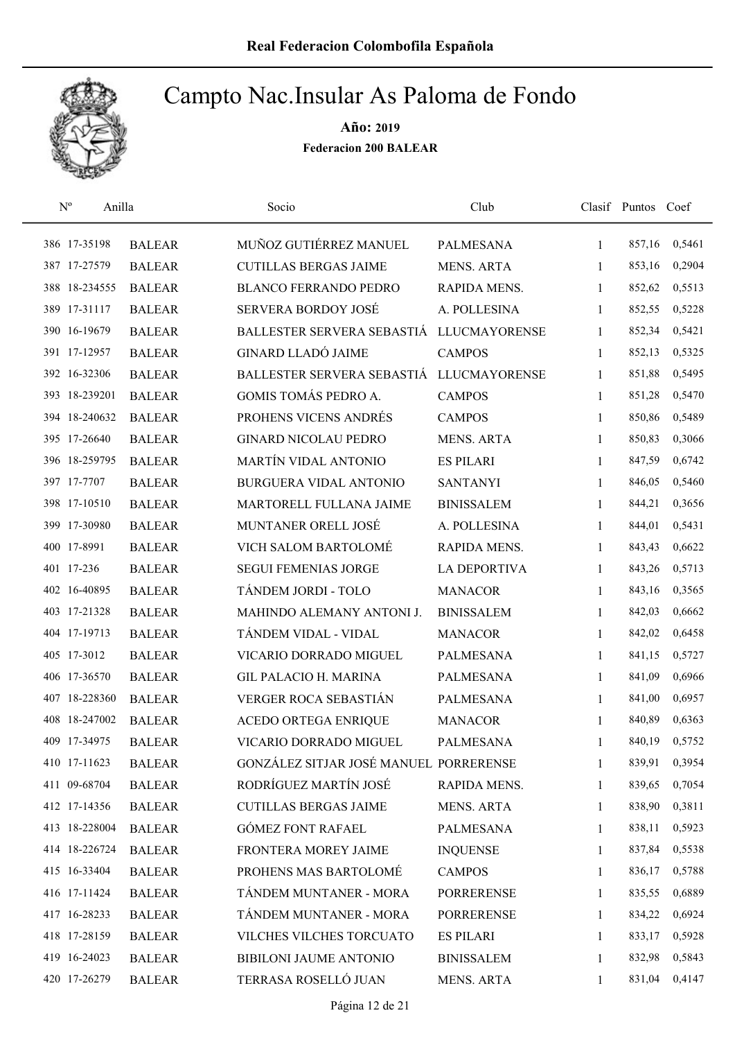

| $\mathrm{N}^{\rm o}$<br>Anilla |               | Socio                                  | Club                 |              | Clasif Puntos Coef |        |
|--------------------------------|---------------|----------------------------------------|----------------------|--------------|--------------------|--------|
| 386 17-35198                   | <b>BALEAR</b> | MUÑOZ GUTIÉRREZ MANUEL                 | PALMESANA            | $\mathbf{1}$ | 857,16             | 0,5461 |
| 387 17-27579                   | <b>BALEAR</b> | <b>CUTILLAS BERGAS JAIME</b>           | <b>MENS. ARTA</b>    | 1            | 853,16             | 0,2904 |
| 388 18-234555                  | <b>BALEAR</b> | <b>BLANCO FERRANDO PEDRO</b>           | RAPIDA MENS.         | $\mathbf{1}$ | 852,62             | 0,5513 |
| 389 17-31117                   | <b>BALEAR</b> | SERVERA BORDOY JOSÉ                    | A. POLLESINA         | 1            | 852,55             | 0,5228 |
| 390 16-19679                   | <b>BALEAR</b> | BALLESTER SERVERA SEBASTIÁ             | <b>LLUCMAYORENSE</b> | $\mathbf{1}$ | 852,34             | 0,5421 |
| 391 17-12957                   | <b>BALEAR</b> | <b>GINARD LLADÓ JAIME</b>              | <b>CAMPOS</b>        | $\mathbf{1}$ | 852,13             | 0,5325 |
| 392 16-32306                   | <b>BALEAR</b> | BALLESTER SERVERA SEBASTIÁ             | <b>LLUCMAYORENSE</b> | $\mathbf{1}$ | 851,88             | 0,5495 |
| 393 18-239201                  | <b>BALEAR</b> | GOMIS TOMÁS PEDRO A.                   | <b>CAMPOS</b>        | $\mathbf{1}$ | 851,28             | 0,5470 |
| 394 18-240632                  | <b>BALEAR</b> | PROHENS VICENS ANDRÉS                  | <b>CAMPOS</b>        | 1            | 850,86             | 0,5489 |
| 395 17-26640                   | <b>BALEAR</b> | <b>GINARD NICOLAU PEDRO</b>            | <b>MENS. ARTA</b>    | 1            | 850,83             | 0,3066 |
| 396 18-259795                  | <b>BALEAR</b> | <b>MARTÍN VIDAL ANTONIO</b>            | <b>ES PILARI</b>     | 1            | 847,59             | 0,6742 |
| 397 17-7707                    | <b>BALEAR</b> | <b>BURGUERA VIDAL ANTONIO</b>          | <b>SANTANYI</b>      | 1            | 846,05             | 0,5460 |
| 398 17-10510                   | <b>BALEAR</b> | MARTORELL FULLANA JAIME                | <b>BINISSALEM</b>    | 1            | 844,21             | 0,3656 |
| 399 17-30980                   | <b>BALEAR</b> | MUNTANER ORELL JOSÉ                    | A. POLLESINA         | 1            | 844,01             | 0,5431 |
| 400 17-8991                    | <b>BALEAR</b> | VICH SALOM BARTOLOMÉ                   | RAPIDA MENS.         | 1            | 843,43             | 0,6622 |
| 401 17-236                     | <b>BALEAR</b> | <b>SEGUI FEMENIAS JORGE</b>            | <b>LA DEPORTIVA</b>  | 1            | 843,26             | 0,5713 |
| 402 16-40895                   | <b>BALEAR</b> | TÁNDEM JORDI - TOLO                    | <b>MANACOR</b>       | 1            | 843,16             | 0,3565 |
| 403 17-21328                   | <b>BALEAR</b> | MAHINDO ALEMANY ANTONI J.              | <b>BINISSALEM</b>    | $\mathbf{1}$ | 842,03             | 0,6662 |
| 404 17-19713                   | <b>BALEAR</b> | TÁNDEM VIDAL - VIDAL                   | <b>MANACOR</b>       | 1            | 842,02             | 0,6458 |
| 405 17-3012                    | <b>BALEAR</b> | VICARIO DORRADO MIGUEL                 | PALMESANA            | $\mathbf{1}$ | 841,15             | 0,5727 |
| 406 17-36570                   | <b>BALEAR</b> | <b>GIL PALACIO H. MARINA</b>           | <b>PALMESANA</b>     | $\mathbf{1}$ | 841,09             | 0,6966 |
| 407 18-228360                  | <b>BALEAR</b> | VERGER ROCA SEBASTIÁN                  | <b>PALMESANA</b>     | 1            | 841,00             | 0,6957 |
| 408 18-247002                  | <b>BALEAR</b> | ACEDO ORTEGA ENRIQUE                   | <b>MANACOR</b>       | 1            | 840,89             | 0,6363 |
| 409 17-34975                   | <b>BALEAR</b> | VICARIO DORRADO MIGUEL                 | <b>PALMESANA</b>     | 1            | 840,19             | 0,5752 |
| 410 17-11623                   | <b>BALEAR</b> | GONZÁLEZ SITJAR JOSÉ MANUEL PORRERENSE |                      | 1            | 839,91             | 0,3954 |
| 411 09-68704                   | <b>BALEAR</b> | RODRÍGUEZ MARTÍN JOSÉ                  | RAPIDA MENS.         | 1            | 839,65             | 0,7054 |
| 412 17-14356                   | <b>BALEAR</b> | <b>CUTILLAS BERGAS JAIME</b>           | <b>MENS. ARTA</b>    | 1            | 838,90             | 0,3811 |
| 413 18-228004                  | <b>BALEAR</b> | <b>GÓMEZ FONT RAFAEL</b>               | PALMESANA            | 1            | 838,11             | 0,5923 |
| 414 18-226724                  | <b>BALEAR</b> | FRONTERA MOREY JAIME                   | <b>INQUENSE</b>      | 1            | 837,84             | 0,5538 |
| 415 16-33404                   | <b>BALEAR</b> | PROHENS MAS BARTOLOMÉ                  | <b>CAMPOS</b>        | 1            | 836,17             | 0,5788 |
| 416 17-11424                   | <b>BALEAR</b> | TÁNDEM MUNTANER - MORA                 | <b>PORRERENSE</b>    | 1            | 835,55             | 0,6889 |
| 417 16-28233                   | <b>BALEAR</b> | TÁNDEM MUNTANER - MORA                 | <b>PORRERENSE</b>    | 1            | 834,22             | 0,6924 |
| 418 17-28159                   | <b>BALEAR</b> | VILCHES VILCHES TORCUATO               | <b>ES PILARI</b>     | 1            | 833,17             | 0,5928 |
| 419 16-24023                   | <b>BALEAR</b> | <b>BIBILONI JAUME ANTONIO</b>          | <b>BINISSALEM</b>    | 1            | 832,98             | 0,5843 |
| 420 17-26279                   | <b>BALEAR</b> | TERRASA ROSELLÓ JUAN                   | <b>MENS. ARTA</b>    | 1            | 831,04             | 0,4147 |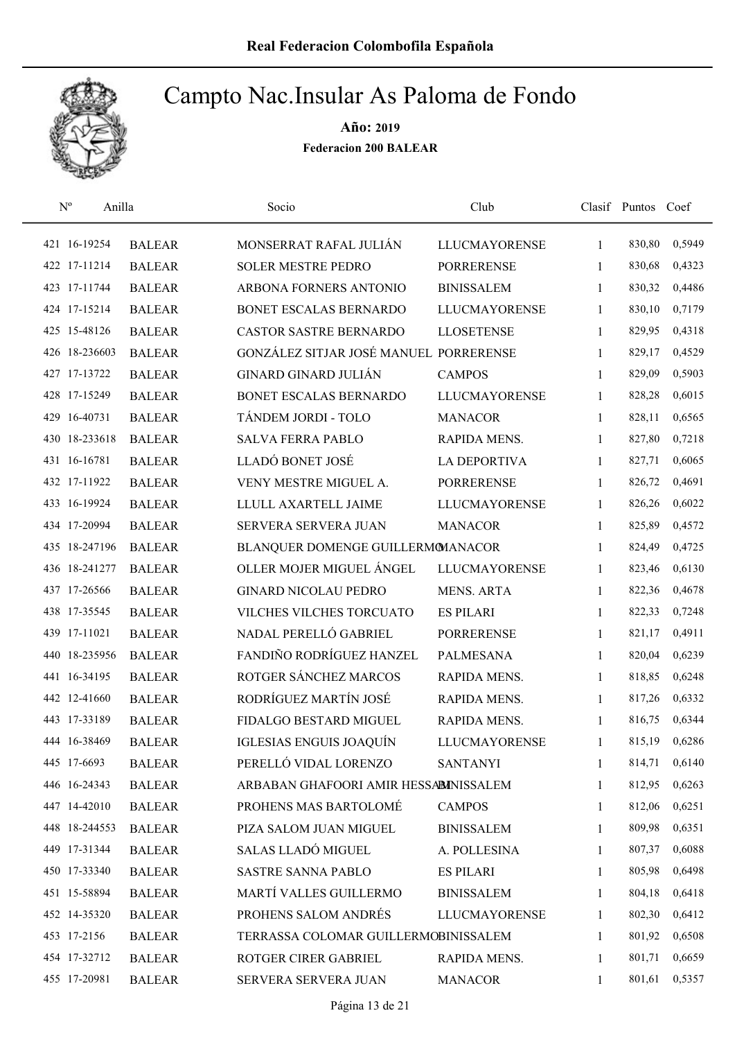

| $\mathbf{N}^{\text{o}}$<br>Anilla |               | Socio                                  | Club                 |              | Clasif Puntos Coef |        |
|-----------------------------------|---------------|----------------------------------------|----------------------|--------------|--------------------|--------|
| 421 16-19254                      | <b>BALEAR</b> | MONSERRAT RAFAL JULIÁN                 | <b>LLUCMAYORENSE</b> | $\mathbf{1}$ | 830,80             | 0,5949 |
| 422 17-11214                      | <b>BALEAR</b> | <b>SOLER MESTRE PEDRO</b>              | <b>PORRERENSE</b>    | 1            | 830,68             | 0,4323 |
| 423 17-11744                      | <b>BALEAR</b> | ARBONA FORNERS ANTONIO                 | <b>BINISSALEM</b>    | 1            | 830,32             | 0,4486 |
| 424 17-15214                      | <b>BALEAR</b> | BONET ESCALAS BERNARDO                 | <b>LLUCMAYORENSE</b> | 1            | 830,10             | 0,7179 |
| 425 15-48126                      | <b>BALEAR</b> | <b>CASTOR SASTRE BERNARDO</b>          | <b>LLOSETENSE</b>    | $\mathbf{1}$ | 829,95             | 0,4318 |
| 426 18-236603                     | <b>BALEAR</b> | GONZÁLEZ SITJAR JOSÉ MANUEL PORRERENSE |                      | 1            | 829,17             | 0,4529 |
| 427 17-13722                      | <b>BALEAR</b> | GINARD GINARD JULIÁN                   | <b>CAMPOS</b>        | 1            | 829,09             | 0,5903 |
| 428 17-15249                      | <b>BALEAR</b> | BONET ESCALAS BERNARDO                 | <b>LLUCMAYORENSE</b> | 1            | 828,28             | 0,6015 |
| 429 16-40731                      | <b>BALEAR</b> | TÁNDEM JORDI - TOLO                    | <b>MANACOR</b>       | 1            | 828,11             | 0,6565 |
| 430 18-233618                     | <b>BALEAR</b> | <b>SALVA FERRA PABLO</b>               | RAPIDA MENS.         | 1            | 827,80             | 0,7218 |
| 431 16-16781                      | <b>BALEAR</b> | LLADÓ BONET JOSÉ                       | <b>LA DEPORTIVA</b>  | 1            | 827,71             | 0,6065 |
| 432 17-11922                      | <b>BALEAR</b> | VENY MESTRE MIGUEL A.                  | <b>PORRERENSE</b>    | 1            | 826,72             | 0,4691 |
| 433 16-19924                      | <b>BALEAR</b> | LLULL AXARTELL JAIME                   | <b>LLUCMAYORENSE</b> | 1            | 826,26             | 0,6022 |
| 434 17-20994                      | <b>BALEAR</b> | SERVERA SERVERA JUAN                   | <b>MANACOR</b>       | 1            | 825,89             | 0,4572 |
| 435 18-247196                     | <b>BALEAR</b> | BLANQUER DOMENGE GUILLERMOMANACOR      |                      | 1            | 824,49             | 0,4725 |
| 436 18-241277                     | <b>BALEAR</b> | OLLER MOJER MIGUEL ÁNGEL               | <b>LLUCMAYORENSE</b> | 1            | 823,46             | 0,6130 |
| 437 17-26566                      | <b>BALEAR</b> | <b>GINARD NICOLAU PEDRO</b>            | <b>MENS. ARTA</b>    | 1            | 822,36             | 0,4678 |
| 438 17-35545                      | <b>BALEAR</b> | VILCHES VILCHES TORCUATO               | <b>ES PILARI</b>     | $\mathbf{1}$ | 822,33             | 0,7248 |
| 439 17-11021                      | <b>BALEAR</b> | NADAL PERELLÓ GABRIEL                  | <b>PORRERENSE</b>    | $\mathbf{1}$ | 821,17             | 0,4911 |
| 440 18-235956                     | <b>BALEAR</b> | FANDIÑO RODRÍGUEZ HANZEL               | <b>PALMESANA</b>     | $\mathbf{1}$ | 820,04             | 0,6239 |
| 441 16-34195                      | <b>BALEAR</b> | ROTGER SÁNCHEZ MARCOS                  | RAPIDA MENS.         | $\mathbf{1}$ | 818,85             | 0,6248 |
| 442 12-41660                      | <b>BALEAR</b> | RODRÍGUEZ MARTÍN JOSÉ                  | RAPIDA MENS.         | 1            | 817,26             | 0,6332 |
| 443 17-33189                      | <b>BALEAR</b> | FIDALGO BESTARD MIGUEL                 | RAPIDA MENS.         | 1            | 816,75             | 0,6344 |
| 444 16-38469                      | <b>BALEAR</b> | IGLESIAS ENGUIS JOAQUÍN                | <b>LLUCMAYORENSE</b> | 1            | 815,19             | 0,6286 |
| 445 17-6693                       | <b>BALEAR</b> | PERELLÓ VIDAL LORENZO                  | <b>SANTANYI</b>      | 1            | 814,71             | 0,6140 |
| 446 16-24343                      | <b>BALEAR</b> | ARBABAN GHAFOORI AMIR HESSABINISSALEM  |                      | 1            | 812,95             | 0,6263 |
| 447 14-42010                      | <b>BALEAR</b> | PROHENS MAS BARTOLOMÉ                  | <b>CAMPOS</b>        | 1            | 812,06             | 0,6251 |
| 448 18-244553                     | <b>BALEAR</b> | PIZA SALOM JUAN MIGUEL                 | <b>BINISSALEM</b>    | 1            | 809,98             | 0,6351 |
| 449 17-31344                      | <b>BALEAR</b> | SALAS LLADÓ MIGUEL                     | A. POLLESINA         | 1            | 807,37             | 0,6088 |
| 450 17-33340                      | <b>BALEAR</b> | <b>SASTRE SANNA PABLO</b>              | <b>ES PILARI</b>     | $\mathbf{1}$ | 805,98             | 0,6498 |
| 451 15-58894                      | <b>BALEAR</b> | MARTÍ VALLES GUILLERMO                 | <b>BINISSALEM</b>    | 1            | 804,18             | 0,6418 |
| 452 14-35320                      | <b>BALEAR</b> | PROHENS SALOM ANDRÉS                   | <b>LLUCMAYORENSE</b> | 1            | 802,30             | 0,6412 |
| 453 17-2156                       | <b>BALEAR</b> | TERRASSA COLOMAR GUILLERMOBINISSALEM   |                      | 1            | 801,92             | 0,6508 |
| 454 17-32712                      | <b>BALEAR</b> | ROTGER CIRER GABRIEL                   | RAPIDA MENS.         | 1            | 801,71             | 0,6659 |
| 455 17-20981                      | <b>BALEAR</b> | SERVERA SERVERA JUAN                   | <b>MANACOR</b>       | 1            | 801,61             | 0,5357 |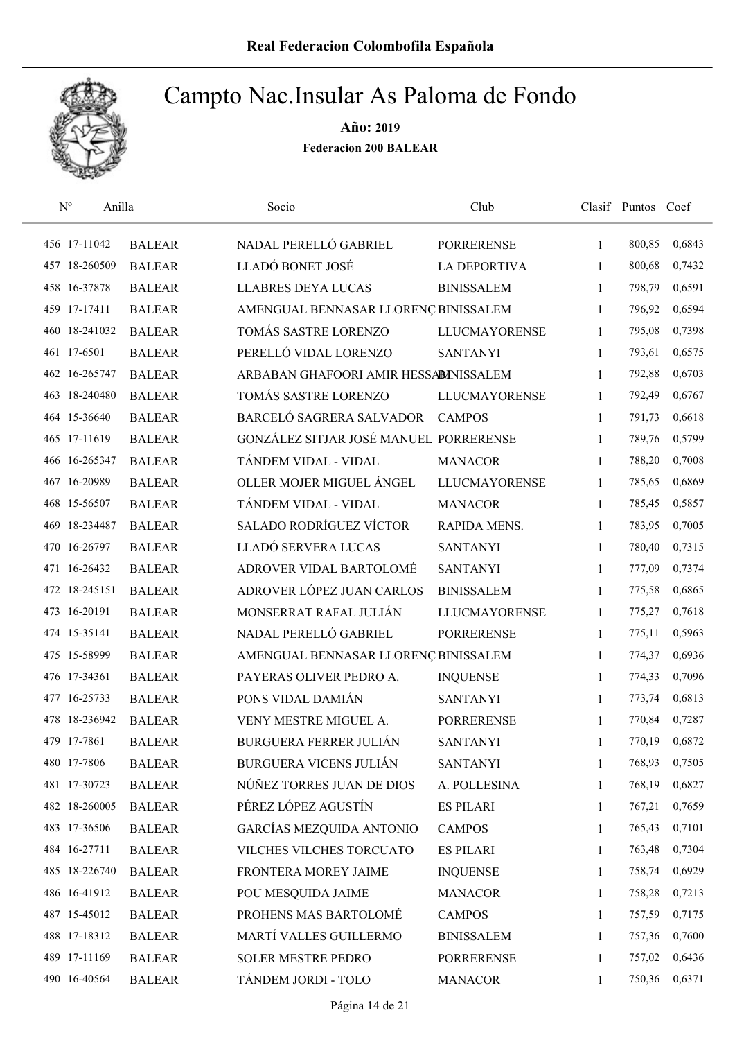

| $N^{\rm o}$   | Anilla        | Socio                                  | Club                 |              | Clasif Puntos Coef |        |
|---------------|---------------|----------------------------------------|----------------------|--------------|--------------------|--------|
| 456 17-11042  | <b>BALEAR</b> | NADAL PERELLÓ GABRIEL                  | <b>PORRERENSE</b>    | 1            | 800,85             | 0,6843 |
| 457 18-260509 | <b>BALEAR</b> | LLADÓ BONET JOSÉ                       | <b>LA DEPORTIVA</b>  | 1            | 800,68             | 0,7432 |
| 458 16-37878  | <b>BALEAR</b> | <b>LLABRES DEYA LUCAS</b>              | <b>BINISSALEM</b>    | 1            | 798,79             | 0,6591 |
| 459 17-17411  | <b>BALEAR</b> | AMENGUAL BENNASAR LLORENÇ BINISSALEM   |                      | $\mathbf{1}$ | 796,92             | 0,6594 |
| 460 18-241032 | <b>BALEAR</b> | TOMÁS SASTRE LORENZO                   | <b>LLUCMAYORENSE</b> | $\mathbf{1}$ | 795,08             | 0,7398 |
| 461 17-6501   | <b>BALEAR</b> | PERELLÓ VIDAL LORENZO                  | <b>SANTANYI</b>      | 1            | 793,61             | 0,6575 |
| 462 16-265747 | <b>BALEAR</b> | ARBABAN GHAFOORI AMIR HESSABINISSALEM  |                      | $\mathbf{1}$ | 792,88             | 0,6703 |
| 463 18-240480 | <b>BALEAR</b> | TOMÁS SASTRE LORENZO                   | <b>LLUCMAYORENSE</b> | 1            | 792,49             | 0,6767 |
| 464 15-36640  | <b>BALEAR</b> | BARCELÓ SAGRERA SALVADOR               | <b>CAMPOS</b>        | 1            | 791,73             | 0,6618 |
| 465 17-11619  | <b>BALEAR</b> | GONZÁLEZ SITJAR JOSÉ MANUEL PORRERENSE |                      | 1            | 789,76             | 0,5799 |
| 466 16-265347 | <b>BALEAR</b> | TÁNDEM VIDAL - VIDAL                   | <b>MANACOR</b>       | 1            | 788,20             | 0,7008 |
| 467 16-20989  | <b>BALEAR</b> | OLLER MOJER MIGUEL ÁNGEL               | <b>LLUCMAYORENSE</b> | 1            | 785,65             | 0,6869 |
| 468 15-56507  | <b>BALEAR</b> | TÁNDEM VIDAL - VIDAL                   | <b>MANACOR</b>       | 1            | 785,45             | 0,5857 |
| 469 18-234487 | <b>BALEAR</b> | <b>SALADO RODRÍGUEZ VÍCTOR</b>         | RAPIDA MENS.         | 1            | 783,95             | 0,7005 |
| 470 16-26797  | <b>BALEAR</b> | LLADÓ SERVERA LUCAS                    | <b>SANTANYI</b>      | 1            | 780,40             | 0,7315 |
| 471 16-26432  | <b>BALEAR</b> | ADROVER VIDAL BARTOLOMÉ                | <b>SANTANYI</b>      | 1            | 777,09             | 0,7374 |
| 472 18-245151 | <b>BALEAR</b> | ADROVER LÓPEZ JUAN CARLOS              | <b>BINISSALEM</b>    | 1            | 775,58             | 0,6865 |
| 473 16-20191  | <b>BALEAR</b> | MONSERRAT RAFAL JULIÁN                 | <b>LLUCMAYORENSE</b> | $\mathbf{1}$ | 775,27             | 0,7618 |
| 474 15-35141  | <b>BALEAR</b> | NADAL PERELLÓ GABRIEL                  | <b>PORRERENSE</b>    | $\mathbf{1}$ | 775,11             | 0,5963 |
| 475 15-58999  | <b>BALEAR</b> | AMENGUAL BENNASAR LLORENÇ BINISSALEM   |                      | $\mathbf{1}$ | 774,37             | 0,6936 |
| 476 17-34361  | <b>BALEAR</b> | PAYERAS OLIVER PEDRO A.                | <b>INQUENSE</b>      | $\mathbf{1}$ | 774,33             | 0,7096 |
| 477 16-25733  | <b>BALEAR</b> | PONS VIDAL DAMIÁN                      | <b>SANTANYI</b>      | 1            | 773,74             | 0,6813 |
| 478 18-236942 | <b>BALEAR</b> | VENY MESTRE MIGUEL A.                  | <b>PORRERENSE</b>    | 1            | 770,84             | 0,7287 |
| 479 17-7861   | <b>BALEAR</b> | <b>BURGUERA FERRER JULIÁN</b>          | <b>SANTANYI</b>      | 1            | 770,19             | 0,6872 |
| 480 17-7806   | <b>BALEAR</b> | <b>BURGUERA VICENS JULIÁN</b>          | <b>SANTANYI</b>      | 1            | 768,93             | 0,7505 |
| 481 17-30723  | <b>BALEAR</b> | NÚÑEZ TORRES JUAN DE DIOS              | A. POLLESINA         | 1            | 768,19             | 0,6827 |
| 482 18-260005 | <b>BALEAR</b> | PÉREZ LÓPEZ AGUSTÍN                    | <b>ES PILARI</b>     | 1            | 767,21             | 0,7659 |
| 483 17-36506  | <b>BALEAR</b> | GARCÍAS MEZQUIDA ANTONIO               | <b>CAMPOS</b>        | 1            | 765,43             | 0,7101 |
| 484 16-27711  | <b>BALEAR</b> | VILCHES VILCHES TORCUATO               | <b>ES PILARI</b>     | 1            | 763,48             | 0,7304 |
| 485 18-226740 | <b>BALEAR</b> | FRONTERA MOREY JAIME                   | <b>INQUENSE</b>      | 1            | 758,74             | 0,6929 |
| 486 16-41912  | <b>BALEAR</b> | POU MESQUIDA JAIME                     | <b>MANACOR</b>       | $\mathbf{1}$ | 758,28             | 0,7213 |
| 487 15-45012  | <b>BALEAR</b> | PROHENS MAS BARTOLOMÉ                  | <b>CAMPOS</b>        | 1            | 757,59             | 0,7175 |
| 488 17-18312  | <b>BALEAR</b> | MARTÍ VALLES GUILLERMO                 | <b>BINISSALEM</b>    | 1            | 757,36             | 0,7600 |
| 489 17-11169  | <b>BALEAR</b> | <b>SOLER MESTRE PEDRO</b>              | <b>PORRERENSE</b>    | 1            | 757,02             | 0,6436 |
| 490 16-40564  | <b>BALEAR</b> | TÁNDEM JORDI - TOLO                    | <b>MANACOR</b>       | 1            | 750,36             | 0,6371 |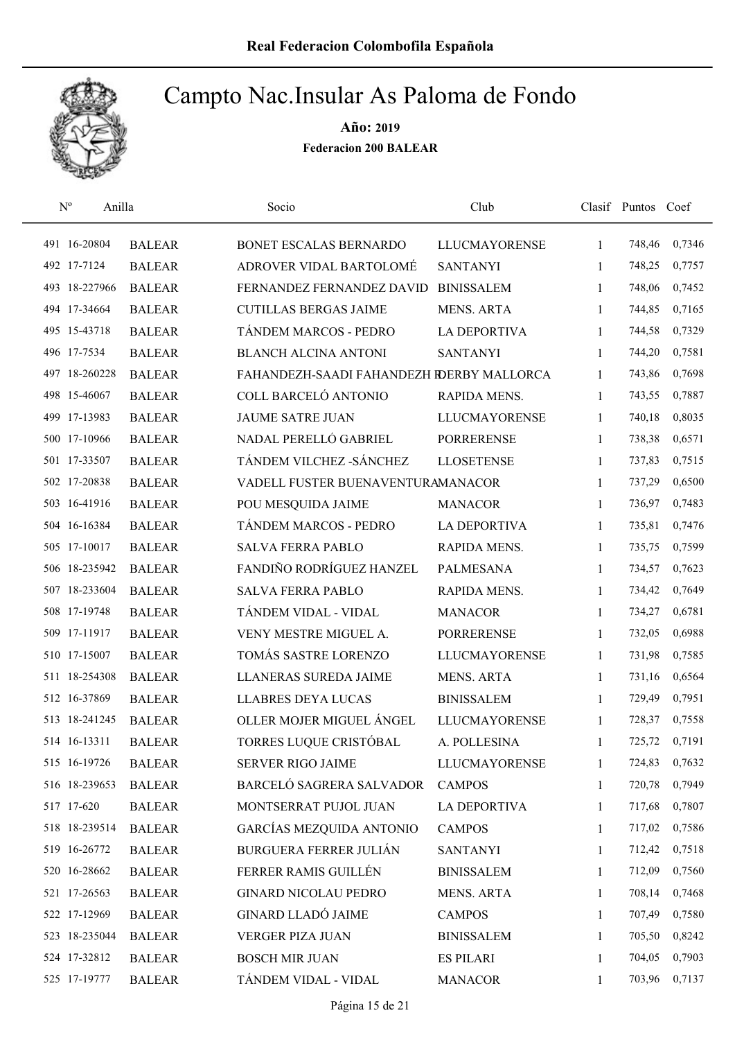

| $\mathbf{N}^{\text{o}}$<br>Anilla |               | Socio                                     | Club                 |              | Clasif Puntos | Coef   |
|-----------------------------------|---------------|-------------------------------------------|----------------------|--------------|---------------|--------|
| 491 16-20804                      | <b>BALEAR</b> | BONET ESCALAS BERNARDO                    | <b>LLUCMAYORENSE</b> | 1            | 748,46        | 0,7346 |
| 492 17-7124                       | <b>BALEAR</b> | ADROVER VIDAL BARTOLOMÉ                   | <b>SANTANYI</b>      | 1            | 748,25        | 0,7757 |
| 493 18-227966                     | <b>BALEAR</b> | FERNANDEZ FERNANDEZ DAVID                 | <b>BINISSALEM</b>    | 1            | 748,06        | 0,7452 |
| 494 17-34664                      | <b>BALEAR</b> | <b>CUTILLAS BERGAS JAIME</b>              | <b>MENS. ARTA</b>    | 1            | 744,85        | 0,7165 |
| 495 15-43718                      | <b>BALEAR</b> | TÁNDEM MARCOS - PEDRO                     | <b>LA DEPORTIVA</b>  | 1            | 744,58        | 0,7329 |
| 496 17-7534                       | <b>BALEAR</b> | <b>BLANCH ALCINA ANTONI</b>               | <b>SANTANYI</b>      | 1            | 744,20        | 0,7581 |
| 497 18-260228                     | <b>BALEAR</b> | FAHANDEZH-SAADI FAHANDEZH RDERBY MALLORCA |                      | $\mathbf{1}$ | 743,86        | 0,7698 |
| 498 15-46067                      | <b>BALEAR</b> | COLL BARCELÓ ANTONIO                      | RAPIDA MENS.         | $\mathbf{1}$ | 743,55        | 0,7887 |
| 499 17-13983                      | <b>BALEAR</b> | <b>JAUME SATRE JUAN</b>                   | <b>LLUCMAYORENSE</b> | 1            | 740,18        | 0,8035 |
| 500 17-10966                      | <b>BALEAR</b> | NADAL PERELLÓ GABRIEL                     | <b>PORRERENSE</b>    | 1            | 738,38        | 0,6571 |
| 501 17-33507                      | <b>BALEAR</b> | TÁNDEM VILCHEZ - SÁNCHEZ                  | <b>LLOSETENSE</b>    | 1            | 737,83        | 0,7515 |
| 502 17-20838                      | <b>BALEAR</b> | VADELL FUSTER BUENAVENTURAMANACOR         |                      | 1            | 737,29        | 0,6500 |
| 503 16-41916                      | <b>BALEAR</b> | POU MESQUIDA JAIME                        | <b>MANACOR</b>       | 1            | 736,97        | 0,7483 |
| 504 16-16384                      | <b>BALEAR</b> | TÁNDEM MARCOS - PEDRO                     | <b>LA DEPORTIVA</b>  | 1            | 735,81        | 0,7476 |
| 505 17-10017                      | <b>BALEAR</b> | <b>SALVA FERRA PABLO</b>                  | RAPIDA MENS.         | $\mathbf{1}$ | 735,75        | 0,7599 |
| 506 18-235942                     | <b>BALEAR</b> | FANDIÑO RODRÍGUEZ HANZEL                  | <b>PALMESANA</b>     | 1            | 734,57        | 0,7623 |
| 507 18-233604                     | <b>BALEAR</b> | <b>SALVA FERRA PABLO</b>                  | RAPIDA MENS.         | $\mathbf{1}$ | 734,42        | 0,7649 |
| 508 17-19748                      | <b>BALEAR</b> | TÁNDEM VIDAL - VIDAL                      | <b>MANACOR</b>       | $\mathbf{1}$ | 734,27        | 0,6781 |
| 509 17-11917                      | <b>BALEAR</b> | VENY MESTRE MIGUEL A.                     | <b>PORRERENSE</b>    | $\mathbf{1}$ | 732,05        | 0,6988 |
| 510 17-15007                      | <b>BALEAR</b> | TOMÁS SASTRE LORENZO                      | <b>LLUCMAYORENSE</b> | $\mathbf{1}$ | 731,98        | 0,7585 |
| 511 18-254308                     | <b>BALEAR</b> | <b>LLANERAS SUREDA JAIME</b>              | <b>MENS. ARTA</b>    | 1            | 731,16        | 0,6564 |
| 512 16-37869                      | <b>BALEAR</b> | <b>LLABRES DEYA LUCAS</b>                 | <b>BINISSALEM</b>    | 1            | 729,49        | 0,7951 |
| 513 18-241245                     | <b>BALEAR</b> | OLLER MOJER MIGUEL ÁNGEL                  | <b>LLUCMAYORENSE</b> | 1            | 728,37        | 0,7558 |
| 514 16-13311                      | <b>BALEAR</b> | TORRES LUQUE CRISTÓBAL                    | A. POLLESINA         | 1            | 725,72        | 0,7191 |
| 515 16-19726                      | <b>BALEAR</b> | <b>SERVER RIGO JAIME</b>                  | LLUCMAYORENSE        | $\mathbf{1}$ | 724,83        | 0,7632 |
| 516 18-239653                     | <b>BALEAR</b> | BARCELÓ SAGRERA SALVADOR                  | <b>CAMPOS</b>        | 1            | 720,78        | 0,7949 |
| 517 17-620                        | <b>BALEAR</b> | MONTSERRAT PUJOL JUAN                     | LA DEPORTIVA         | 1            | 717,68        | 0,7807 |
| 518 18-239514                     | <b>BALEAR</b> | GARCÍAS MEZQUIDA ANTONIO                  | <b>CAMPOS</b>        | 1            | 717,02        | 0,7586 |
| 519 16-26772                      | <b>BALEAR</b> | <b>BURGUERA FERRER JULIÁN</b>             | <b>SANTANYI</b>      | 1            | 712,42        | 0,7518 |
| 520 16-28662                      | <b>BALEAR</b> | FERRER RAMIS GUILLÉN                      | <b>BINISSALEM</b>    | $\mathbf{1}$ | 712,09        | 0,7560 |
| 521 17-26563                      | <b>BALEAR</b> | <b>GINARD NICOLAU PEDRO</b>               | MENS. ARTA           | $\mathbf{1}$ | 708,14        | 0,7468 |
| 522 17-12969                      | <b>BALEAR</b> | <b>GINARD LLADÓ JAIME</b>                 | <b>CAMPOS</b>        | 1            | 707,49        | 0,7580 |
| 523 18-235044                     | <b>BALEAR</b> | VERGER PIZA JUAN                          | <b>BINISSALEM</b>    | 1            | 705,50        | 0,8242 |
| 524 17-32812                      | <b>BALEAR</b> | <b>BOSCH MIR JUAN</b>                     | <b>ES PILARI</b>     | 1            | 704,05        | 0,7903 |
| 525 17-19777                      | <b>BALEAR</b> | TÁNDEM VIDAL - VIDAL                      | <b>MANACOR</b>       | 1            | 703,96        | 0,7137 |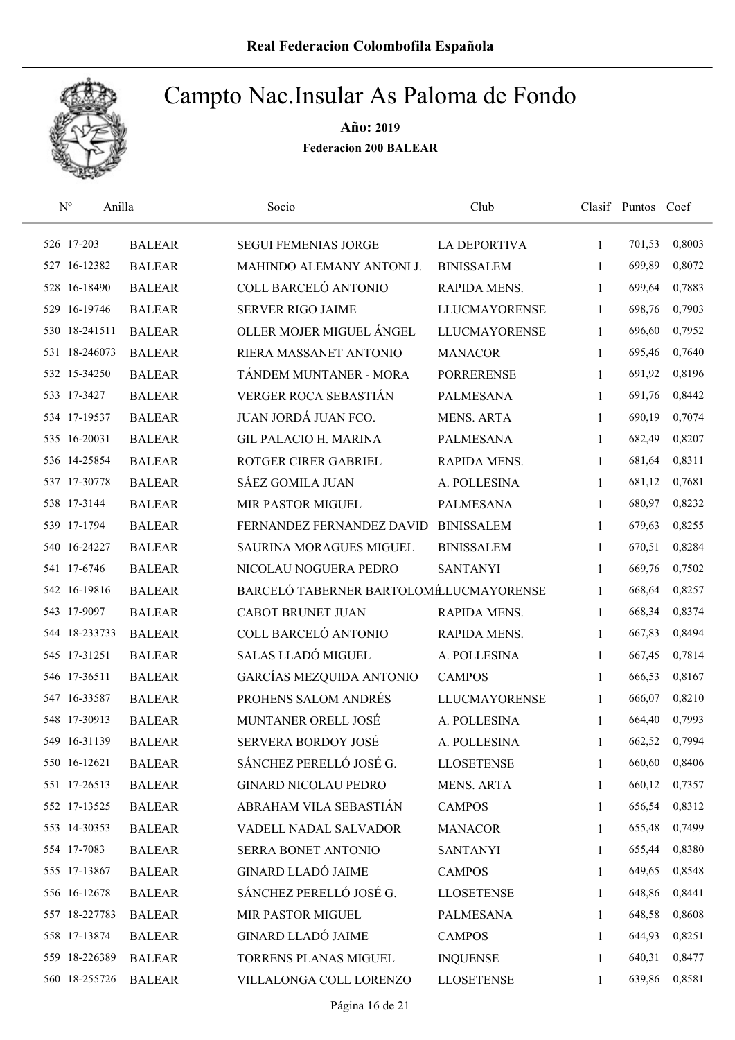

| $N^{\rm o}$<br>Anilla |               | Socio                                  | Club                 |              | Clasif Puntos Coef |        |
|-----------------------|---------------|----------------------------------------|----------------------|--------------|--------------------|--------|
| 526 17-203            | <b>BALEAR</b> | <b>SEGUI FEMENIAS JORGE</b>            | LA DEPORTIVA         | $\mathbf{1}$ | 701,53             | 0,8003 |
| 527 16-12382          | <b>BALEAR</b> | MAHINDO ALEMANY ANTONI J.              | <b>BINISSALEM</b>    | 1            | 699,89             | 0,8072 |
| 528 16-18490          | <b>BALEAR</b> | COLL BARCELÓ ANTONIO                   | RAPIDA MENS.         | $\mathbf{1}$ | 699,64             | 0,7883 |
| 529 16-19746          | <b>BALEAR</b> | <b>SERVER RIGO JAIME</b>               | <b>LLUCMAYORENSE</b> | 1            | 698,76             | 0,7903 |
| 530 18-241511         | <b>BALEAR</b> | OLLER MOJER MIGUEL ÁNGEL               | <b>LLUCMAYORENSE</b> | $\mathbf{1}$ | 696,60             | 0,7952 |
| 531 18-246073         | <b>BALEAR</b> | RIERA MASSANET ANTONIO                 | <b>MANACOR</b>       | $\mathbf{1}$ | 695,46             | 0,7640 |
| 532 15-34250          | <b>BALEAR</b> | TÁNDEM MUNTANER - MORA                 | <b>PORRERENSE</b>    | $\mathbf{1}$ | 691,92             | 0,8196 |
| 533 17-3427           | <b>BALEAR</b> | VERGER ROCA SEBASTIÁN                  | <b>PALMESANA</b>     | $\mathbf{1}$ | 691,76             | 0,8442 |
| 534 17-19537          | <b>BALEAR</b> | JUAN JORDÁ JUAN FCO.                   | <b>MENS. ARTA</b>    | $\mathbf{1}$ | 690,19             | 0,7074 |
| 535 16-20031          | <b>BALEAR</b> | <b>GIL PALACIO H. MARINA</b>           | <b>PALMESANA</b>     | 1            | 682,49             | 0,8207 |
| 536 14-25854          | <b>BALEAR</b> | ROTGER CIRER GABRIEL                   | <b>RAPIDA MENS.</b>  | $\mathbf{1}$ | 681,64             | 0,8311 |
| 537 17-30778          | <b>BALEAR</b> | <b>SÁEZ GOMILA JUAN</b>                | A. POLLESINA         | $\mathbf{1}$ | 681,12             | 0,7681 |
| 538 17-3144           | <b>BALEAR</b> | MIR PASTOR MIGUEL                      | <b>PALMESANA</b>     | $\mathbf{1}$ | 680,97             | 0,8232 |
| 539 17-1794           | <b>BALEAR</b> | FERNANDEZ FERNANDEZ DAVID              | <b>BINISSALEM</b>    | $\mathbf{1}$ | 679,63             | 0,8255 |
| 540 16-24227          | <b>BALEAR</b> | SAURINA MORAGUES MIGUEL                | <b>BINISSALEM</b>    | $\mathbf{1}$ | 670,51             | 0,8284 |
| 541 17-6746           | <b>BALEAR</b> | NICOLAU NOGUERA PEDRO                  | <b>SANTANYI</b>      | 1            | 669,76             | 0,7502 |
| 542 16-19816          | <b>BALEAR</b> | BARCELÓ TABERNER BARTOLOMÉLUCMAYORENSE |                      | $\mathbf{1}$ | 668,64             | 0,8257 |
| 543 17-9097           | <b>BALEAR</b> | <b>CABOT BRUNET JUAN</b>               | RAPIDA MENS.         | 1            | 668,34             | 0,8374 |
| 544 18-233733         | <b>BALEAR</b> | COLL BARCELÓ ANTONIO                   | RAPIDA MENS.         | $\mathbf{1}$ | 667,83             | 0,8494 |
| 545 17-31251          | <b>BALEAR</b> | SALAS LLADÓ MIGUEL                     | A. POLLESINA         | $\mathbf{1}$ | 667,45             | 0,7814 |
| 546 17-36511          | <b>BALEAR</b> | <b>GARCÍAS MEZQUIDA ANTONIO</b>        | <b>CAMPOS</b>        | $\mathbf{1}$ | 666,53             | 0,8167 |
| 547 16-33587          | <b>BALEAR</b> | PROHENS SALOM ANDRÉS                   | <b>LLUCMAYORENSE</b> | 1            | 666,07             | 0,8210 |
| 548 17-30913          | <b>BALEAR</b> | MUNTANER ORELL JOSÉ                    | A. POLLESINA         | $\mathbf{1}$ | 664,40             | 0,7993 |
| 549 16-31139          | <b>BALEAR</b> | <b>SERVERA BORDOY JOSÉ</b>             | A. POLLESINA         | 1            | 662,52             | 0,7994 |
| 550 16-12621          | <b>BALEAR</b> | SÁNCHEZ PERELLÓ JOSÉ G.                | <b>LLOSETENSE</b>    | 1            | 660,60             | 0,8406 |
| 551 17-26513          | <b>BALEAR</b> | <b>GINARD NICOLAU PEDRO</b>            | <b>MENS. ARTA</b>    | 1            | 660,12             | 0,7357 |
| 552 17-13525          | <b>BALEAR</b> | ABRAHAM VILA SEBASTIÁN                 | <b>CAMPOS</b>        | 1            | 656,54             | 0,8312 |
| 553 14-30353          | <b>BALEAR</b> | VADELL NADAL SALVADOR                  | <b>MANACOR</b>       | 1            | 655,48             | 0,7499 |
| 554 17-7083           | <b>BALEAR</b> | SERRA BONET ANTONIO                    | <b>SANTANYI</b>      | 1            | 655,44             | 0,8380 |
| 555 17-13867          | <b>BALEAR</b> | <b>GINARD LLADÓ JAIME</b>              | <b>CAMPOS</b>        | 1            | 649,65             | 0,8548 |
| 556 16-12678          | <b>BALEAR</b> | SÁNCHEZ PERELLÓ JOSÉ G.                | <b>LLOSETENSE</b>    | 1            | 648,86             | 0,8441 |
| 557 18-227783         | <b>BALEAR</b> | MIR PASTOR MIGUEL                      | PALMESANA            | 1            | 648,58             | 0,8608 |
| 558 17-13874          | <b>BALEAR</b> | <b>GINARD LLADÓ JAIME</b>              | <b>CAMPOS</b>        | 1            | 644,93             | 0,8251 |
| 559 18-226389         | <b>BALEAR</b> | TORRENS PLANAS MIGUEL                  | <b>INQUENSE</b>      | 1            | 640,31             | 0,8477 |
| 560 18-255726         | <b>BALEAR</b> | VILLALONGA COLL LORENZO                | <b>LLOSETENSE</b>    | 1            | 639,86             | 0,8581 |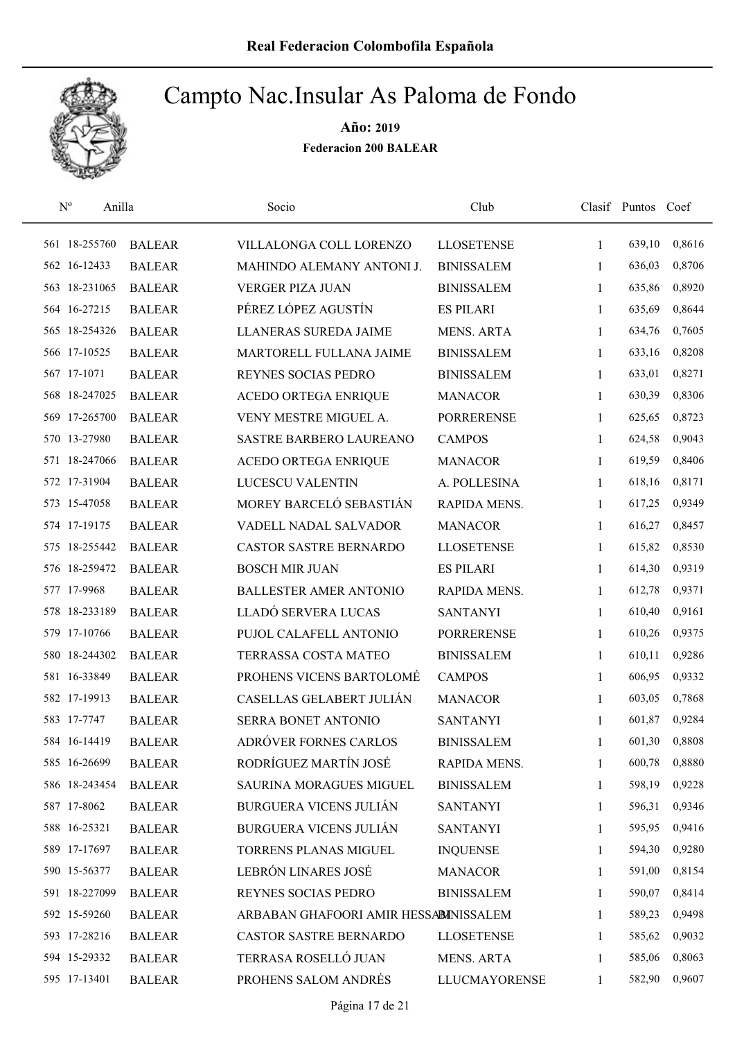

| $\mathbf{N}^{\text{o}}$ | Anilla        | Socio                                 | Club                 |              | Clasif Puntos Coef |        |
|-------------------------|---------------|---------------------------------------|----------------------|--------------|--------------------|--------|
| 561 18-255760           | <b>BALEAR</b> | VILLALONGA COLL LORENZO               | <b>LLOSETENSE</b>    | $\mathbf{1}$ | 639,10             | 0,8616 |
| 562 16-12433            | <b>BALEAR</b> | MAHINDO ALEMANY ANTONI J.             | <b>BINISSALEM</b>    | $\mathbf{1}$ | 636,03             | 0,8706 |
| 563 18-231065           | <b>BALEAR</b> | <b>VERGER PIZA JUAN</b>               | <b>BINISSALEM</b>    | $\mathbf{1}$ | 635,86             | 0,8920 |
| 564 16-27215            | <b>BALEAR</b> | PÉREZ LÓPEZ AGUSTÍN                   | <b>ES PILARI</b>     | 1            | 635,69             | 0,8644 |
| 565 18-254326           | <b>BALEAR</b> | LLANERAS SUREDA JAIME                 | <b>MENS. ARTA</b>    | $\mathbf{1}$ | 634,76             | 0,7605 |
| 566 17-10525            | <b>BALEAR</b> | MARTORELL FULLANA JAIME               | <b>BINISSALEM</b>    | $\mathbf{1}$ | 633,16             | 0,8208 |
| 567 17-1071             | <b>BALEAR</b> | REYNES SOCIAS PEDRO                   | <b>BINISSALEM</b>    | $\mathbf{1}$ | 633,01             | 0,8271 |
| 568 18-247025           | <b>BALEAR</b> | <b>ACEDO ORTEGA ENRIQUE</b>           | <b>MANACOR</b>       | 1            | 630,39             | 0,8306 |
| 569 17-265700           | <b>BALEAR</b> | VENY MESTRE MIGUEL A.                 | <b>PORRERENSE</b>    | 1            | 625,65             | 0,8723 |
| 570 13-27980            | <b>BALEAR</b> | SASTRE BARBERO LAUREANO               | <b>CAMPOS</b>        | 1            | 624,58             | 0,9043 |
| 571 18-247066           | <b>BALEAR</b> | ACEDO ORTEGA ENRIQUE                  | <b>MANACOR</b>       | $\mathbf{1}$ | 619,59             | 0,8406 |
| 572 17-31904            | <b>BALEAR</b> | LUCESCU VALENTIN                      | A. POLLESINA         | 1            | 618,16             | 0,8171 |
| 573 15-47058            | <b>BALEAR</b> | MOREY BARCELÓ SEBASTIÁN               | RAPIDA MENS.         | $\mathbf{1}$ | 617,25             | 0,9349 |
| 574 17-19175            | <b>BALEAR</b> | VADELL NADAL SALVADOR                 | <b>MANACOR</b>       | $\mathbf{1}$ | 616,27             | 0,8457 |
| 575 18-255442           | <b>BALEAR</b> | CASTOR SASTRE BERNARDO                | <b>LLOSETENSE</b>    | $\mathbf{1}$ | 615,82             | 0,8530 |
| 576 18-259472           | <b>BALEAR</b> | <b>BOSCH MIR JUAN</b>                 | <b>ES PILARI</b>     | $\mathbf{1}$ | 614,30             | 0,9319 |
| 577 17-9968             | <b>BALEAR</b> | <b>BALLESTER AMER ANTONIO</b>         | RAPIDA MENS.         | $\mathbf{1}$ | 612,78             | 0,9371 |
| 578 18-233189           | <b>BALEAR</b> | LLADÓ SERVERA LUCAS                   | <b>SANTANYI</b>      | $\mathbf{1}$ | 610,40             | 0,9161 |
| 579 17-10766            | <b>BALEAR</b> | PUJOL CALAFELL ANTONIO                | <b>PORRERENSE</b>    | $\mathbf{1}$ | 610,26             | 0,9375 |
| 580 18-244302           | <b>BALEAR</b> | TERRASSA COSTA MATEO                  | <b>BINISSALEM</b>    | $\mathbf{1}$ | 610,11             | 0,9286 |
| 581 16-33849            | <b>BALEAR</b> | PROHENS VICENS BARTOLOMÉ              | <b>CAMPOS</b>        | $\mathbf{1}$ | 606,95             | 0,9332 |
| 582 17-19913            | <b>BALEAR</b> | CASELLAS GELABERT JULIÁN              | <b>MANACOR</b>       | 1            | 603,05             | 0,7868 |
| 583 17-7747             | <b>BALEAR</b> | SERRA BONET ANTONIO                   | <b>SANTANYI</b>      | 1            | 601,87             | 0,9284 |
| 584 16-14419            | <b>BALEAR</b> | ADRÓVER FORNES CARLOS                 | <b>BINISSALEM</b>    | 1            | 601,30             | 0,8808 |
| 585 16-26699            | <b>BALEAR</b> | RODRÍGUEZ MARTÍN JOSÉ                 | RAPIDA MENS.         | 1            | 600,78             | 0,8880 |
| 586 18-243454           | <b>BALEAR</b> | SAURINA MORAGUES MIGUEL               | <b>BINISSALEM</b>    | 1            | 598,19             | 0,9228 |
| 587 17-8062             | <b>BALEAR</b> | <b>BURGUERA VICENS JULIÁN</b>         | <b>SANTANYI</b>      | 1            | 596,31             | 0,9346 |
| 588 16-25321            | <b>BALEAR</b> | <b>BURGUERA VICENS JULIÁN</b>         | <b>SANTANYI</b>      | 1            | 595,95             | 0,9416 |
| 589 17-17697            | <b>BALEAR</b> | TORRENS PLANAS MIGUEL                 | <b>INQUENSE</b>      | 1            | 594,30             | 0,9280 |
| 590 15-56377            | <b>BALEAR</b> | LEBRÓN LINARES JOSÉ                   | <b>MANACOR</b>       | 1            | 591,00             | 0,8154 |
| 591 18-227099           | <b>BALEAR</b> | REYNES SOCIAS PEDRO                   | <b>BINISSALEM</b>    | 1            | 590,07             | 0,8414 |
| 592 15-59260            | <b>BALEAR</b> | ARBABAN GHAFOORI AMIR HESSABINISSALEM |                      | 1            | 589,23             | 0,9498 |
| 593 17-28216            | <b>BALEAR</b> | CASTOR SASTRE BERNARDO                | <b>LLOSETENSE</b>    | 1            | 585,62             | 0,9032 |
| 594 15-29332            | <b>BALEAR</b> | TERRASA ROSELLÓ JUAN                  | <b>MENS. ARTA</b>    | 1            | 585,06             | 0,8063 |
| 595 17-13401            | <b>BALEAR</b> | PROHENS SALOM ANDRÉS                  | <b>LLUCMAYORENSE</b> | $\mathbf{1}$ | 582,90             | 0,9607 |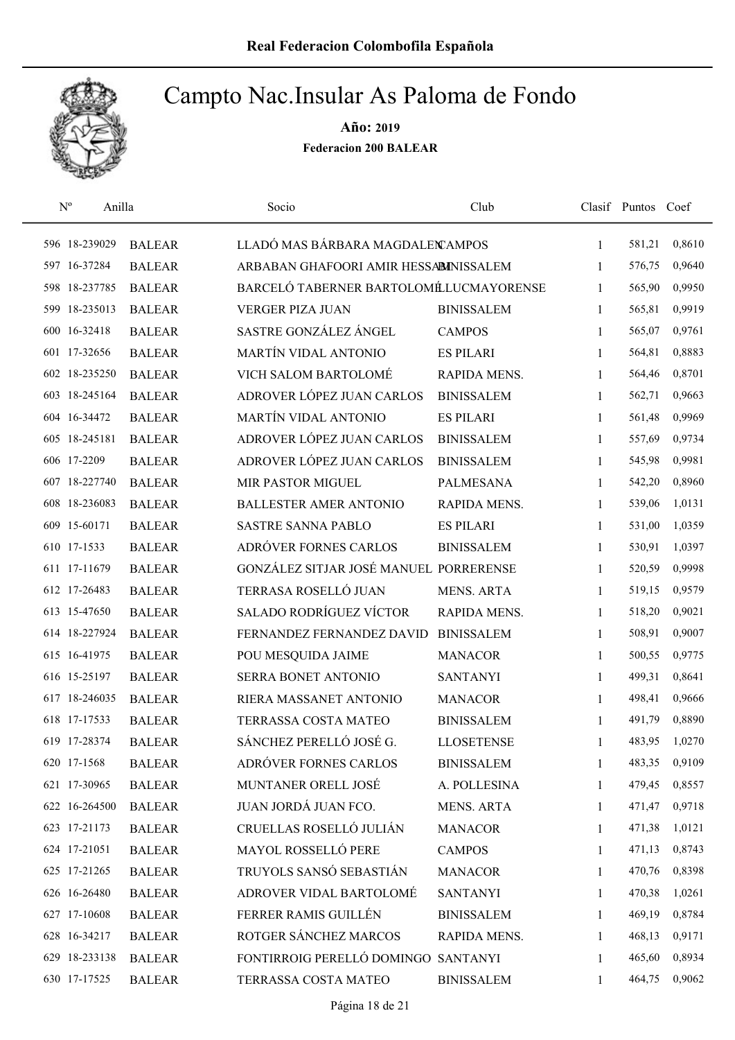

| $N^{\rm o}$      | Anilla        | Socio                                  | Club                |              | Clasif Puntos Coef |        |
|------------------|---------------|----------------------------------------|---------------------|--------------|--------------------|--------|
| 596 18-239029    | <b>BALEAR</b> | LLADÓ MAS BÁRBARA MAGDALEN AMPOS       |                     | 1            | 581,21             | 0,8610 |
| 597 16-37284     | <b>BALEAR</b> | ARBABAN GHAFOORI AMIR HESSABINISSALEM  |                     | 1            | 576,75             | 0,9640 |
| 598 18-237785    | <b>BALEAR</b> | BARCELÓ TABERNER BARTOLOMÉLUCMAYORENSE |                     | $\mathbf{1}$ | 565,90             | 0,9950 |
| 18-235013<br>599 | <b>BALEAR</b> | <b>VERGER PIZA JUAN</b>                | <b>BINISSALEM</b>   | 1            | 565,81             | 0,9919 |
| 600 16-32418     | <b>BALEAR</b> | SASTRE GONZÁLEZ ÁNGEL                  | <b>CAMPOS</b>       | $\mathbf{1}$ | 565,07             | 0,9761 |
| 601 17-32656     | <b>BALEAR</b> | <b>MARTÍN VIDAL ANTONIO</b>            | <b>ES PILARI</b>    | $\mathbf{1}$ | 564,81             | 0,8883 |
| 602 18-235250    | <b>BALEAR</b> | VICH SALOM BARTOLOMÉ                   | RAPIDA MENS.        | $\mathbf{1}$ | 564,46             | 0,8701 |
| 603 18-245164    | <b>BALEAR</b> | ADROVER LÓPEZ JUAN CARLOS              | <b>BINISSALEM</b>   | 1            | 562,71             | 0,9663 |
| 604 16-34472     | <b>BALEAR</b> | <b>MARTÍN VIDAL ANTONIO</b>            | <b>ES PILARI</b>    | 1            | 561,48             | 0,9969 |
| 605 18-245181    | <b>BALEAR</b> | ADROVER LÓPEZ JUAN CARLOS              | <b>BINISSALEM</b>   | 1            | 557,69             | 0,9734 |
| 606 17-2209      | <b>BALEAR</b> | ADROVER LÓPEZ JUAN CARLOS              | <b>BINISSALEM</b>   | 1            | 545,98             | 0,9981 |
| 607 18-227740    | <b>BALEAR</b> | <b>MIR PASTOR MIGUEL</b>               | <b>PALMESANA</b>    | 1            | 542,20             | 0,8960 |
| 608 18-236083    | <b>BALEAR</b> | <b>BALLESTER AMER ANTONIO</b>          | <b>RAPIDA MENS.</b> | 1            | 539,06             | 1,0131 |
| 609 15-60171     | <b>BALEAR</b> | <b>SASTRE SANNA PABLO</b>              | <b>ES PILARI</b>    | 1            | 531,00             | 1,0359 |
| 610 17-1533      | <b>BALEAR</b> | ADRÓVER FORNES CARLOS                  | <b>BINISSALEM</b>   | $\mathbf{1}$ | 530,91             | 1,0397 |
| 611 17-11679     | <b>BALEAR</b> | GONZÁLEZ SITJAR JOSÉ MANUEL PORRERENSE |                     | $\mathbf{1}$ | 520,59             | 0,9998 |
| 612 17-26483     | <b>BALEAR</b> | TERRASA ROSELLÓ JUAN                   | <b>MENS. ARTA</b>   | 1            | 519,15             | 0,9579 |
| 613 15-47650     | <b>BALEAR</b> | <b>SALADO RODRÍGUEZ VÍCTOR</b>         | RAPIDA MENS.        | $\mathbf{1}$ | 518,20             | 0,9021 |
| 614 18-227924    | <b>BALEAR</b> | FERNANDEZ FERNANDEZ DAVID              | <b>BINISSALEM</b>   | $\mathbf{1}$ | 508,91             | 0,9007 |
| 615 16-41975     | <b>BALEAR</b> | POU MESQUIDA JAIME                     | <b>MANACOR</b>      | $\mathbf{1}$ | 500,55             | 0,9775 |
| 616 15-25197     | <b>BALEAR</b> | SERRA BONET ANTONIO                    | <b>SANTANYI</b>     | $\mathbf{1}$ | 499,31             | 0,8641 |
| 617 18-246035    | <b>BALEAR</b> | RIERA MASSANET ANTONIO                 | <b>MANACOR</b>      | 1            | 498,41             | 0,9666 |
| 618 17-17533     | <b>BALEAR</b> | TERRASSA COSTA MATEO                   | <b>BINISSALEM</b>   | 1            | 491,79             | 0,8890 |
| 619 17-28374     | <b>BALEAR</b> | SÁNCHEZ PERELLÓ JOSÉ G.                | <b>LLOSETENSE</b>   | 1            | 483,95             | 1,0270 |
| 620 17-1568      | <b>BALEAR</b> | ADRÓVER FORNES CARLOS                  | <b>BINISSALEM</b>   | 1            | 483,35             | 0,9109 |
| 621 17-30965     | <b>BALEAR</b> | MUNTANER ORELL JOSÉ                    | A. POLLESINA        | 1            | 479,45             | 0,8557 |
| 622 16-264500    | <b>BALEAR</b> | JUAN JORDÁ JUAN FCO.                   | <b>MENS. ARTA</b>   | 1            | 471,47             | 0,9718 |
| 623 17-21173     | <b>BALEAR</b> | CRUELLAS ROSELLÓ JULIÁN                | <b>MANACOR</b>      | 1            | 471,38             | 1,0121 |
| 624 17-21051     | <b>BALEAR</b> | <b>MAYOL ROSSELLÓ PERE</b>             | <b>CAMPOS</b>       | 1            | 471,13             | 0,8743 |
| 625 17-21265     | <b>BALEAR</b> | TRUYOLS SANSÓ SEBASTIÁN                | <b>MANACOR</b>      | 1            | 470,76             | 0,8398 |
| 626 16-26480     | <b>BALEAR</b> | ADROVER VIDAL BARTOLOMÉ                | <b>SANTANYI</b>     | 1            | 470,38             | 1,0261 |
| 627 17-10608     | <b>BALEAR</b> | FERRER RAMIS GUILLÉN                   | <b>BINISSALEM</b>   | 1            | 469,19             | 0,8784 |
| 628 16-34217     | <b>BALEAR</b> | ROTGER SÁNCHEZ MARCOS                  | RAPIDA MENS.        | 1            | 468,13             | 0,9171 |
| 629 18-233138    | <b>BALEAR</b> | FONTIRROIG PERELLÓ DOMINGO SANTANYI    |                     | 1            | 465,60             | 0,8934 |
| 630 17-17525     | <b>BALEAR</b> | TERRASSA COSTA MATEO                   | <b>BINISSALEM</b>   | 1            | 464,75             | 0,9062 |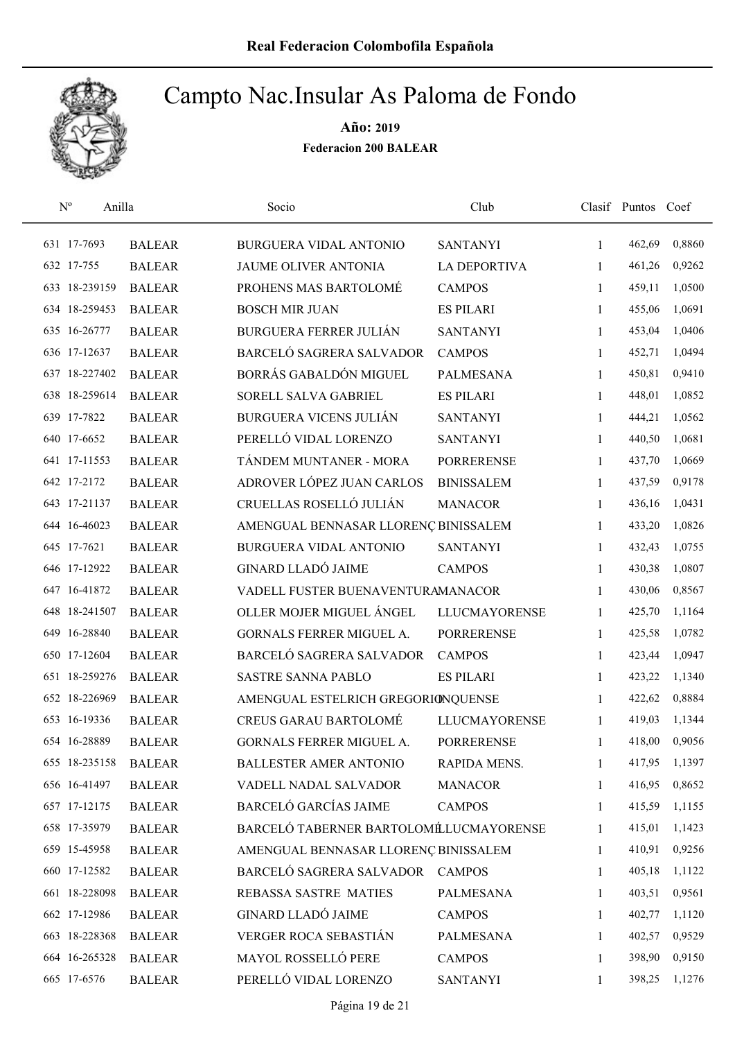

| $N^{\rm o}$   | Anilla        | Socio                                  | Club                 |              | Clasif Puntos Coef |        |
|---------------|---------------|----------------------------------------|----------------------|--------------|--------------------|--------|
| 631 17-7693   | <b>BALEAR</b> | <b>BURGUERA VIDAL ANTONIO</b>          | <b>SANTANYI</b>      | 1            | 462,69             | 0,8860 |
| 632 17-755    | <b>BALEAR</b> | JAUME OLIVER ANTONIA                   | <b>LA DEPORTIVA</b>  | 1            | 461,26             | 0,9262 |
| 633 18-239159 | <b>BALEAR</b> | PROHENS MAS BARTOLOMÉ                  | <b>CAMPOS</b>        | $\mathbf{1}$ | 459,11             | 1,0500 |
| 634 18-259453 | <b>BALEAR</b> | <b>BOSCH MIR JUAN</b>                  | <b>ES PILARI</b>     | 1            | 455,06             | 1,0691 |
| 635 16-26777  | <b>BALEAR</b> | <b>BURGUERA FERRER JULIÁN</b>          | <b>SANTANYI</b>      | 1            | 453,04             | 1,0406 |
| 636 17-12637  | <b>BALEAR</b> | BARCELÓ SAGRERA SALVADOR               | <b>CAMPOS</b>        | $\mathbf{1}$ | 452,71             | 1,0494 |
| 637 18-227402 | <b>BALEAR</b> | BORRÁS GABALDÓN MIGUEL                 | <b>PALMESANA</b>     | $\mathbf{1}$ | 450,81             | 0,9410 |
| 638 18-259614 | <b>BALEAR</b> | SORELL SALVA GABRIEL                   | <b>ES PILARI</b>     | 1            | 448,01             | 1,0852 |
| 639 17-7822   | <b>BALEAR</b> | <b>BURGUERA VICENS JULIÁN</b>          | <b>SANTANYI</b>      | 1            | 444,21             | 1,0562 |
| 640 17-6652   | <b>BALEAR</b> | PERELLÓ VIDAL LORENZO                  | <b>SANTANYI</b>      | 1            | 440,50             | 1,0681 |
| 641 17-11553  | <b>BALEAR</b> | TÁNDEM MUNTANER - MORA                 | <b>PORRERENSE</b>    | $\mathbf{1}$ | 437,70             | 1,0669 |
| 642 17-2172   | <b>BALEAR</b> | ADROVER LÓPEZ JUAN CARLOS              | <b>BINISSALEM</b>    | 1            | 437,59             | 0,9178 |
| 643 17-21137  | <b>BALEAR</b> | CRUELLAS ROSELLÓ JULIÁN                | <b>MANACOR</b>       | 1            | 436,16             | 1,0431 |
| 644 16-46023  | <b>BALEAR</b> | AMENGUAL BENNASAR LLORENÇ BINISSALEM   |                      | $\mathbf{1}$ | 433,20             | 1,0826 |
| 645 17-7621   | <b>BALEAR</b> | BURGUERA VIDAL ANTONIO                 | <b>SANTANYI</b>      | $\mathbf{1}$ | 432,43             | 1,0755 |
| 646 17-12922  | <b>BALEAR</b> | <b>GINARD LLADÓ JAIME</b>              | <b>CAMPOS</b>        | 1            | 430,38             | 1,0807 |
| 647 16-41872  | <b>BALEAR</b> | VADELL FUSTER BUENAVENTURAMANACOR      |                      | $\mathbf{1}$ | 430,06             | 0,8567 |
| 648 18-241507 | <b>BALEAR</b> | OLLER MOJER MIGUEL ÁNGEL               | <b>LLUCMAYORENSE</b> | $\mathbf{1}$ | 425,70             | 1,1164 |
| 649 16-28840  | <b>BALEAR</b> | GORNALS FERRER MIGUEL A.               | <b>PORRERENSE</b>    | $\mathbf{1}$ | 425,58             | 1,0782 |
| 650 17-12604  | <b>BALEAR</b> | BARCELÓ SAGRERA SALVADOR               | <b>CAMPOS</b>        | $\mathbf{1}$ | 423,44             | 1,0947 |
| 651 18-259276 | <b>BALEAR</b> | <b>SASTRE SANNA PABLO</b>              | <b>ES PILARI</b>     | $\mathbf{1}$ | 423,22             | 1,1340 |
| 652 18-226969 | <b>BALEAR</b> | AMENGUAL ESTELRICH GREGORIONQUENSE     |                      | 1            | 422,62             | 0,8884 |
| 653 16-19336  | <b>BALEAR</b> | <b>CREUS GARAU BARTOLOMÉ</b>           | <b>LLUCMAYORENSE</b> | 1            | 419,03             | 1,1344 |
| 654 16-28889  | <b>BALEAR</b> | GORNALS FERRER MIGUEL A.               | <b>PORRERENSE</b>    | 1            | 418,00             | 0,9056 |
| 655 18-235158 | <b>BALEAR</b> | <b>BALLESTER AMER ANTONIO</b>          | RAPIDA MENS.         | 1            | 417,95             | 1,1397 |
| 656 16-41497  | <b>BALEAR</b> | VADELL NADAL SALVADOR                  | <b>MANACOR</b>       | 1            | 416,95             | 0,8652 |
| 657 17-12175  | <b>BALEAR</b> | <b>BARCELÓ GARCÍAS JAIME</b>           | <b>CAMPOS</b>        | 1            | 415,59             | 1,1155 |
| 658 17-35979  | <b>BALEAR</b> | BARCELÓ TABERNER BARTOLOMÉLUCMAYORENSE |                      | 1            | 415,01             | 1,1423 |
| 659 15-45958  | <b>BALEAR</b> | AMENGUAL BENNASAR LLORENÇ BINISSALEM   |                      | 1            | 410,91             | 0,9256 |
| 660 17-12582  | <b>BALEAR</b> | BARCELÓ SAGRERA SALVADOR               | <b>CAMPOS</b>        | $\mathbf{1}$ | 405,18             | 1,1122 |
| 661 18-228098 | <b>BALEAR</b> | REBASSA SASTRE MATIES                  | <b>PALMESANA</b>     | 1            | 403,51             | 0,9561 |
| 662 17-12986  | <b>BALEAR</b> | <b>GINARD LLADÓ JAIME</b>              | <b>CAMPOS</b>        | $\mathbf{1}$ | 402,77             | 1,1120 |
| 663 18-228368 | <b>BALEAR</b> | VERGER ROCA SEBASTIÁN                  | <b>PALMESANA</b>     | $\mathbf{1}$ | 402,57             | 0,9529 |
| 664 16-265328 | <b>BALEAR</b> | MAYOL ROSSELLÓ PERE                    | <b>CAMPOS</b>        | 1            | 398,90             | 0,9150 |
| 665 17-6576   | <b>BALEAR</b> | PERELLÓ VIDAL LORENZO                  | <b>SANTANYI</b>      | 1            | 398,25             | 1,1276 |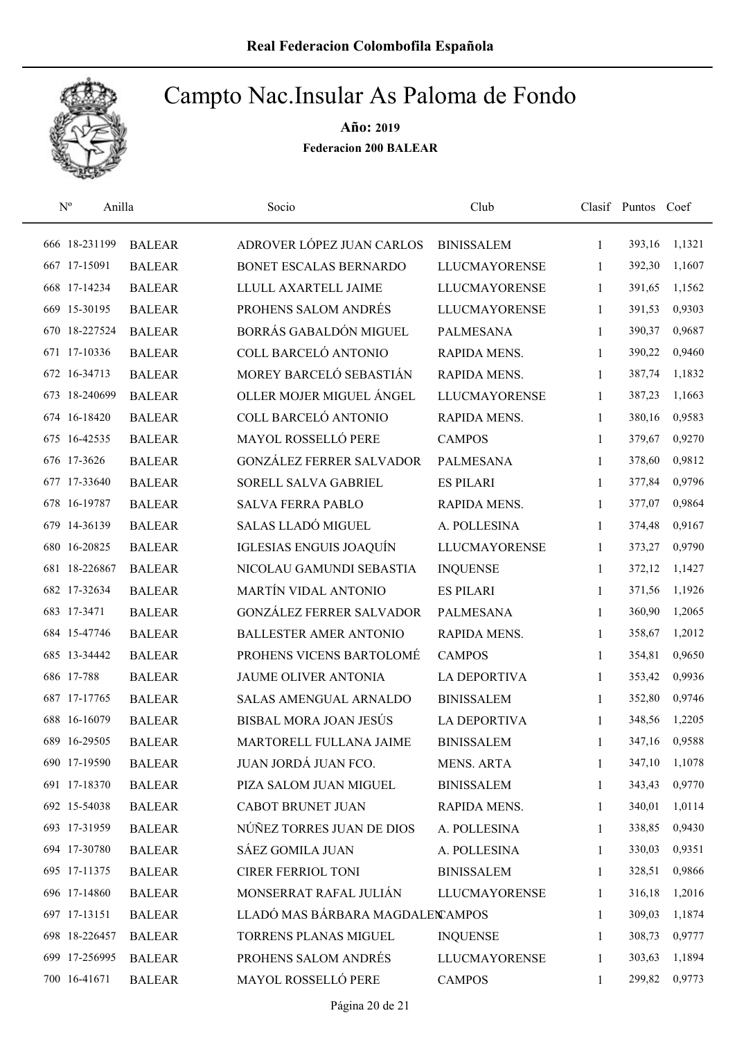

| $N^{\rm o}$   | Anilla        | Socio                            | Club                 |              | Clasif Puntos Coef |        |
|---------------|---------------|----------------------------------|----------------------|--------------|--------------------|--------|
| 666 18-231199 | <b>BALEAR</b> | ADROVER LÓPEZ JUAN CARLOS        | <b>BINISSALEM</b>    | 1            | 393,16             | 1,1321 |
| 667 17-15091  | <b>BALEAR</b> | BONET ESCALAS BERNARDO           | <b>LLUCMAYORENSE</b> | 1            | 392,30             | 1,1607 |
| 668 17-14234  | <b>BALEAR</b> | LLULL AXARTELL JAIME             | <b>LLUCMAYORENSE</b> | 1            | 391,65             | 1,1562 |
| 669 15-30195  | <b>BALEAR</b> | PROHENS SALOM ANDRÉS             | <b>LLUCMAYORENSE</b> | 1            | 391,53             | 0,9303 |
| 670 18-227524 | <b>BALEAR</b> | BORRÁS GABALDÓN MIGUEL           | <b>PALMESANA</b>     | 1            | 390,37             | 0,9687 |
| 671 17-10336  | <b>BALEAR</b> | COLL BARCELÓ ANTONIO             | RAPIDA MENS.         | $\mathbf{1}$ | 390,22             | 0,9460 |
| 672 16-34713  | <b>BALEAR</b> | MOREY BARCELÓ SEBASTIÁN          | RAPIDA MENS.         | $\mathbf{1}$ | 387,74             | 1,1832 |
| 673 18-240699 | <b>BALEAR</b> | OLLER MOJER MIGUEL ÁNGEL         | <b>LLUCMAYORENSE</b> | $\mathbf{1}$ | 387,23             | 1,1663 |
| 674 16-18420  | <b>BALEAR</b> | COLL BARCELÓ ANTONIO             | RAPIDA MENS.         | 1            | 380,16             | 0,9583 |
| 675 16-42535  | <b>BALEAR</b> | MAYOL ROSSELLÓ PERE              | <b>CAMPOS</b>        | 1            | 379,67             | 0,9270 |
| 676 17-3626   | <b>BALEAR</b> | <b>GONZÁLEZ FERRER SALVADOR</b>  | <b>PALMESANA</b>     | 1            | 378,60             | 0,9812 |
| 677 17-33640  | <b>BALEAR</b> | SORELL SALVA GABRIEL             | <b>ES PILARI</b>     | 1            | 377,84             | 0,9796 |
| 678 16-19787  | <b>BALEAR</b> | <b>SALVA FERRA PABLO</b>         | RAPIDA MENS.         | 1            | 377,07             | 0,9864 |
| 679 14-36139  | <b>BALEAR</b> | SALAS LLADÓ MIGUEL               | A. POLLESINA         | 1            | 374,48             | 0,9167 |
| 680 16-20825  | <b>BALEAR</b> | IGLESIAS ENGUIS JOAQUÍN          | <b>LLUCMAYORENSE</b> | 1            | 373,27             | 0,9790 |
| 681 18-226867 | <b>BALEAR</b> | NICOLAU GAMUNDI SEBASTIA         | <b>INQUENSE</b>      | 1            | 372,12             | 1,1427 |
| 682 17-32634  | <b>BALEAR</b> | <b>MARTÍN VIDAL ANTONIO</b>      | <b>ES PILARI</b>     | 1            | 371,56             | 1,1926 |
| 683 17-3471   | <b>BALEAR</b> | GONZÁLEZ FERRER SALVADOR         | <b>PALMESANA</b>     | 1            | 360,90             | 1,2065 |
| 684 15-47746  | <b>BALEAR</b> | <b>BALLESTER AMER ANTONIO</b>    | RAPIDA MENS.         | 1            | 358,67             | 1,2012 |
| 685 13-34442  | <b>BALEAR</b> | PROHENS VICENS BARTOLOMÉ         | <b>CAMPOS</b>        | $\mathbf{1}$ | 354,81             | 0,9650 |
| 686 17-788    | <b>BALEAR</b> | JAUME OLIVER ANTONIA             | <b>LA DEPORTIVA</b>  | $\mathbf{1}$ | 353,42             | 0,9936 |
| 687 17-17765  | <b>BALEAR</b> | <b>SALAS AMENGUAL ARNALDO</b>    | <b>BINISSALEM</b>    | 1            | 352,80             | 0,9746 |
| 688 16-16079  | <b>BALEAR</b> | BISBAL MORA JOAN JESÚS           | <b>LA DEPORTIVA</b>  | 1            | 348,56             | 1,2205 |
| 689 16-29505  | <b>BALEAR</b> | MARTORELL FULLANA JAIME          | <b>BINISSALEM</b>    | 1            | 347,16             | 0,9588 |
| 690 17-19590  | <b>BALEAR</b> | JUAN JORDÁ JUAN FCO.             | <b>MENS. ARTA</b>    | 1            | 347,10             | 1,1078 |
| 691 17-18370  | <b>BALEAR</b> | PIZA SALOM JUAN MIGUEL           | <b>BINISSALEM</b>    | 1            | 343,43             | 0,9770 |
| 692 15-54038  | <b>BALEAR</b> | CABOT BRUNET JUAN                | RAPIDA MENS.         | 1            | 340,01             | 1,0114 |
| 693 17-31959  | <b>BALEAR</b> | NÚÑEZ TORRES JUAN DE DIOS        | A. POLLESINA         | 1            | 338,85             | 0,9430 |
| 694 17-30780  | <b>BALEAR</b> | SÁEZ GOMILA JUAN                 | A. POLLESINA         | 1            | 330,03             | 0,9351 |
| 695 17-11375  | <b>BALEAR</b> | CIRER FERRIOL TONI               | <b>BINISSALEM</b>    | 1            | 328,51             | 0,9866 |
| 696 17-14860  | <b>BALEAR</b> | MONSERRAT RAFAL JULIÁN           | <b>LLUCMAYORENSE</b> | 1            | 316,18             | 1,2016 |
| 697 17-13151  | <b>BALEAR</b> | LLADÓ MAS BÁRBARA MAGDALEN AMPOS |                      | 1            | 309,03             | 1,1874 |
| 698 18-226457 | <b>BALEAR</b> | TORRENS PLANAS MIGUEL            | <b>INQUENSE</b>      | 1            | 308,73             | 0,9777 |
| 699 17-256995 | <b>BALEAR</b> | PROHENS SALOM ANDRÉS             | <b>LLUCMAYORENSE</b> | 1            | 303,63             | 1,1894 |
| 700 16-41671  | <b>BALEAR</b> | MAYOL ROSSELLÓ PERE              | <b>CAMPOS</b>        | 1            | 299,82             | 0,9773 |